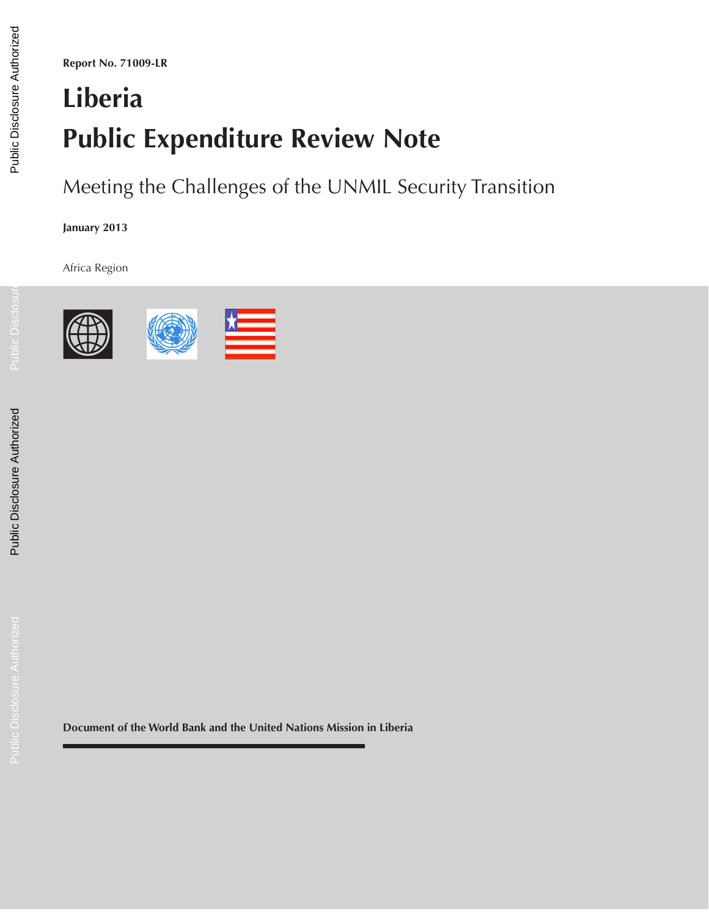**Report No. 71009-LR**

# **Liberia Public Expenditure Review Note**

Meeting the Challenges of the UNMIL Security Transition

**January 2013**

Africa Region



**Document of the World Bank and the United Nations Mission in Liberia**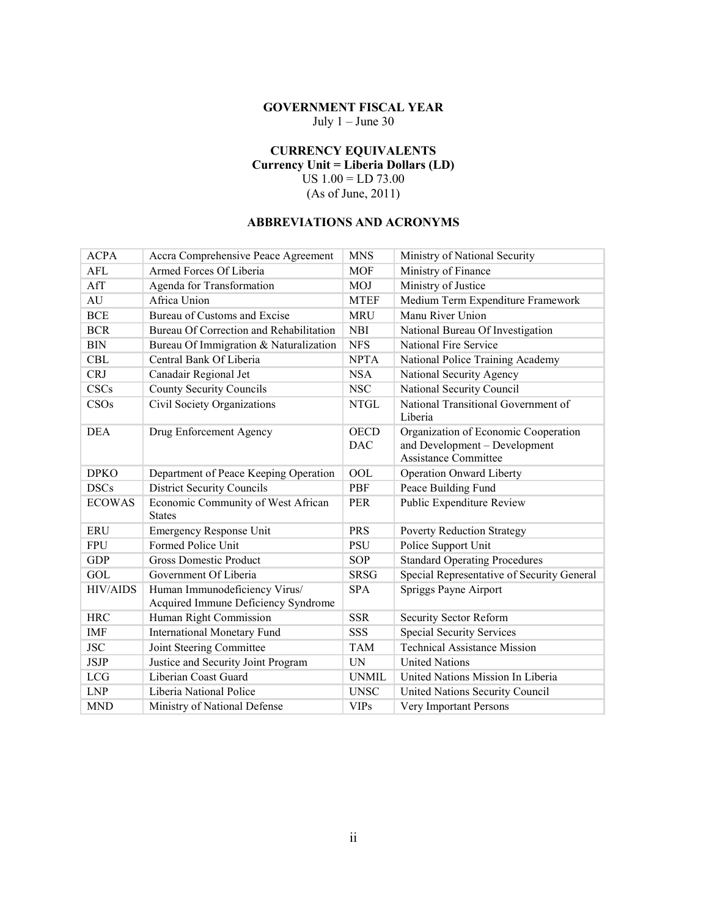# **GOVERNMENT FISCAL YEAR**

July  $1 -$  June 30

#### **CURRENCY EQUIVALENTS Currency Unit = Liberia Dollars (LD)**

US 1.00 = LD 73.00

(As of June, 2011)

#### **ABBREVIATIONS AND ACRONYMS**

| <b>ACPA</b>     | Accra Comprehensive Peace Agreement                                  | <b>MNS</b>                | Ministry of National Security                                                                        |
|-----------------|----------------------------------------------------------------------|---------------------------|------------------------------------------------------------------------------------------------------|
| AFL             | Armed Forces Of Liberia                                              | <b>MOF</b>                | Ministry of Finance                                                                                  |
| AfT             | Agenda for Transformation                                            | <b>MOJ</b>                | Ministry of Justice                                                                                  |
| AU              | Africa Union                                                         | <b>MTEF</b>               | Medium Term Expenditure Framework                                                                    |
| <b>BCE</b>      | Bureau of Customs and Excise                                         | <b>MRU</b>                | Manu River Union                                                                                     |
| <b>BCR</b>      | Bureau Of Correction and Rehabilitation                              | <b>NBI</b>                | National Bureau Of Investigation                                                                     |
| <b>BIN</b>      | Bureau Of Immigration & Naturalization                               | <b>NFS</b>                | National Fire Service                                                                                |
| <b>CBL</b>      | Central Bank Of Liberia                                              | <b>NPTA</b>               | National Police Training Academy                                                                     |
| <b>CRJ</b>      | Canadair Regional Jet                                                | <b>NSA</b>                | National Security Agency                                                                             |
| CSCs            | <b>County Security Councils</b>                                      | <b>NSC</b>                | National Security Council                                                                            |
| CSOs            | Civil Society Organizations                                          | <b>NTGL</b>               | National Transitional Government of<br>Liberia                                                       |
| <b>DEA</b>      | Drug Enforcement Agency                                              | <b>OECD</b><br><b>DAC</b> | Organization of Economic Cooperation<br>and Development - Development<br><b>Assistance Committee</b> |
| <b>DPKO</b>     | Department of Peace Keeping Operation                                | <b>OOL</b>                | <b>Operation Onward Liberty</b>                                                                      |
| <b>DSCs</b>     | <b>District Security Councils</b>                                    | PBF                       | Peace Building Fund                                                                                  |
| <b>ECOWAS</b>   | Economic Community of West African<br><b>States</b>                  | <b>PER</b>                | Public Expenditure Review                                                                            |
| <b>ERU</b>      | <b>Emergency Response Unit</b>                                       | <b>PRS</b>                | <b>Poverty Reduction Strategy</b>                                                                    |
| <b>FPU</b>      | Formed Police Unit                                                   | <b>PSU</b>                | Police Support Unit                                                                                  |
| <b>GDP</b>      | <b>Gross Domestic Product</b>                                        | <b>SOP</b>                | <b>Standard Operating Procedures</b>                                                                 |
| GOL             | Government Of Liberia                                                | <b>SRSG</b>               | Special Representative of Security General                                                           |
| <b>HIV/AIDS</b> | Human Immunodeficiency Virus/<br>Acquired Immune Deficiency Syndrome | <b>SPA</b>                | Spriggs Payne Airport                                                                                |
| <b>HRC</b>      | Human Right Commission                                               | <b>SSR</b>                | Security Sector Reform                                                                               |
| <b>IMF</b>      | <b>International Monetary Fund</b>                                   | <b>SSS</b>                | <b>Special Security Services</b>                                                                     |
| <b>JSC</b>      | Joint Steering Committee                                             | <b>TAM</b>                | <b>Technical Assistance Mission</b>                                                                  |
| <b>JSJP</b>     | Justice and Security Joint Program                                   | <b>IN</b>                 | <b>United Nations</b>                                                                                |
| <b>LCG</b>      | Liberian Coast Guard                                                 | <b>UNMIL</b>              | United Nations Mission In Liberia                                                                    |
| <b>LNP</b>      | Liberia National Police                                              | <b>UNSC</b>               | United Nations Security Council                                                                      |
| <b>MND</b>      | Ministry of National Defense                                         | <b>VIPs</b>               | Very Important Persons                                                                               |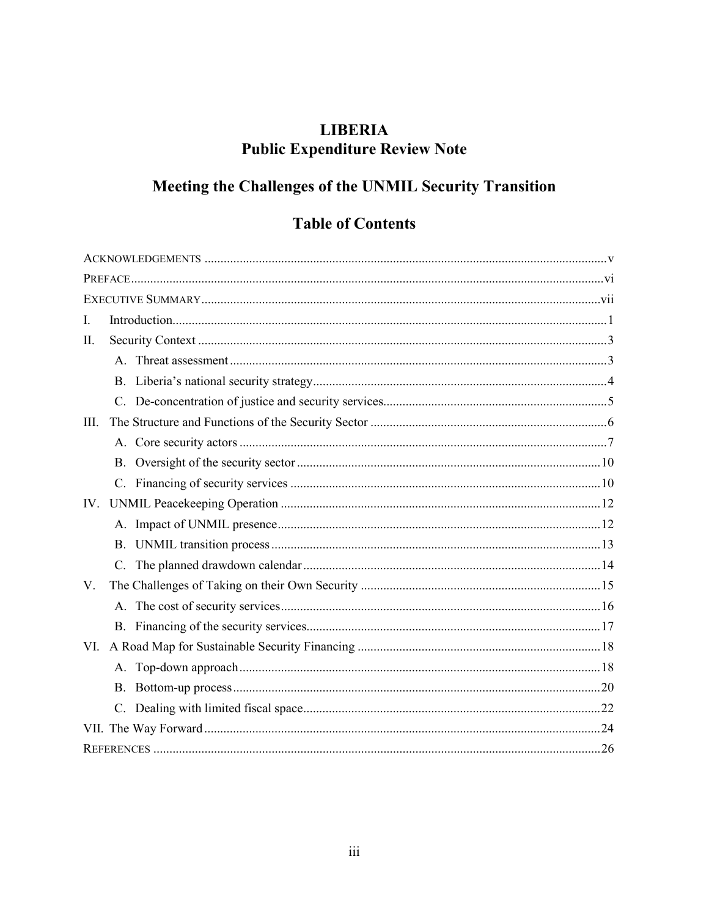# **LIBERIA Public Expenditure Review Note**

# Meeting the Challenges of the UNMIL Security Transition

# **Table of Contents**

| I.          |             |  |
|-------------|-------------|--|
| II.         |             |  |
|             |             |  |
|             |             |  |
|             |             |  |
| III.        |             |  |
|             |             |  |
|             |             |  |
|             |             |  |
| IV.         |             |  |
|             | A.          |  |
|             |             |  |
|             | $C_{\cdot}$ |  |
| $V_{\cdot}$ |             |  |
|             |             |  |
|             |             |  |
| VI.         |             |  |
|             |             |  |
|             |             |  |
|             |             |  |
|             |             |  |
|             |             |  |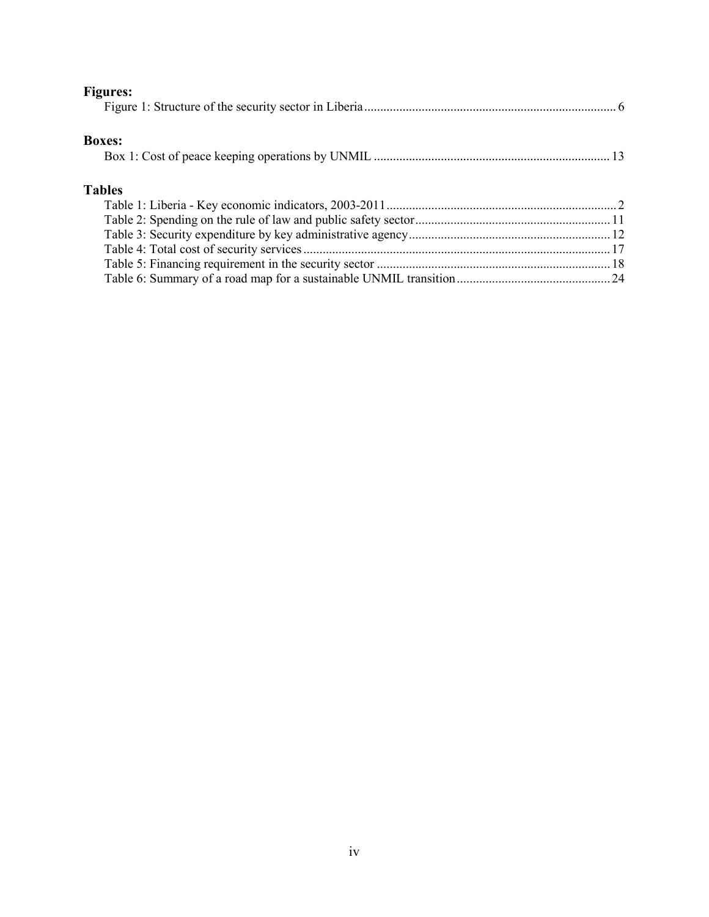| <b>Figures:</b> |  |
|-----------------|--|
|                 |  |
|                 |  |
| <b>Boxes:</b>   |  |
|                 |  |
|                 |  |
| <b>Tables</b>   |  |
|                 |  |
|                 |  |
|                 |  |
|                 |  |
|                 |  |
|                 |  |
|                 |  |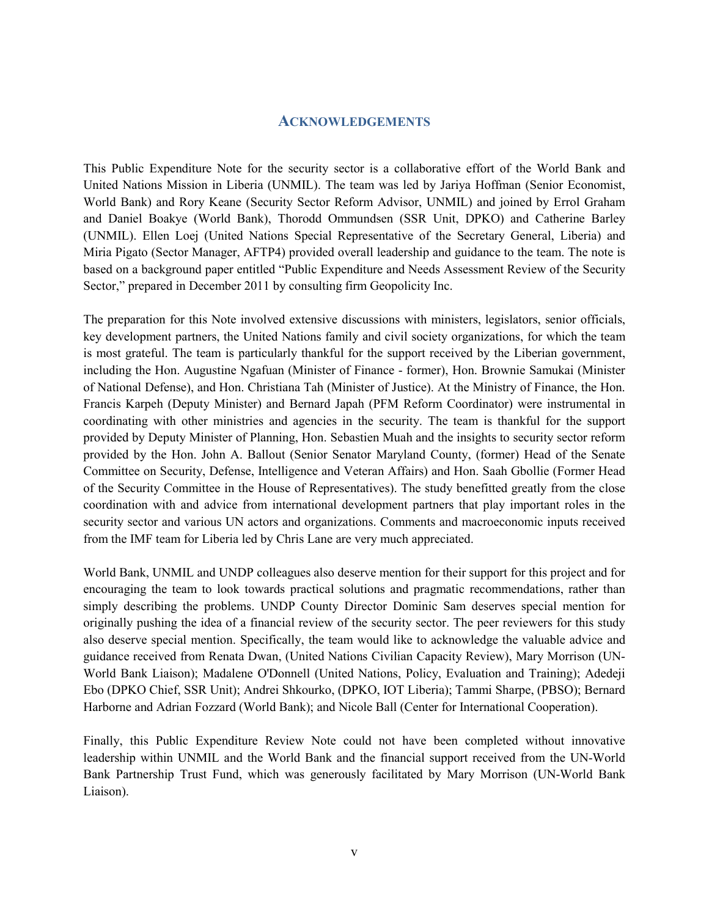#### **ACKNOWLEDGEMENTS**

This Public Expenditure Note for the security sector is a collaborative effort of the World Bank and United Nations Mission in Liberia (UNMIL). The team was led by Jariya Hoffman (Senior Economist, World Bank) and Rory Keane (Security Sector Reform Advisor, UNMIL) and joined by Errol Graham and Daniel Boakye (World Bank), Thorodd Ommundsen (SSR Unit, DPKO) and Catherine Barley (UNMIL). Ellen Loej (United Nations Special Representative of the Secretary General, Liberia) and Miria Pigato (Sector Manager, AFTP4) provided overall leadership and guidance to the team. The note is based on a background paper entitled "Public Expenditure and Needs Assessment Review of the Security Sector," prepared in December 2011 by consulting firm Geopolicity Inc.

The preparation for this Note involved extensive discussions with ministers, legislators, senior officials, key development partners, the United Nations family and civil society organizations, for which the team is most grateful. The team is particularly thankful for the support received by the Liberian government, including the Hon. Augustine Ngafuan (Minister of Finance - former), Hon. Brownie Samukai (Minister of National Defense), and Hon. Christiana Tah (Minister of Justice). At the Ministry of Finance, the Hon. Francis Karpeh (Deputy Minister) and Bernard Japah (PFM Reform Coordinator) were instrumental in coordinating with other ministries and agencies in the security. The team is thankful for the support provided by Deputy Minister of Planning, Hon. Sebastien Muah and the insights to security sector reform provided by the Hon. John A. Ballout (Senior Senator Maryland County, (former) Head of the Senate Committee on Security, Defense, Intelligence and Veteran Affairs) and Hon. Saah Gbollie (Former Head of the Security Committee in the House of Representatives). The study benefitted greatly from the close coordination with and advice from international development partners that play important roles in the security sector and various UN actors and organizations. Comments and macroeconomic inputs received from the IMF team for Liberia led by Chris Lane are very much appreciated.

World Bank, UNMIL and UNDP colleagues also deserve mention for their support for this project and for encouraging the team to look towards practical solutions and pragmatic recommendations, rather than simply describing the problems. UNDP County Director Dominic Sam deserves special mention for originally pushing the idea of a financial review of the security sector. The peer reviewers for this study also deserve special mention. Specifically, the team would like to acknowledge the valuable advice and guidance received from Renata Dwan, (United Nations Civilian Capacity Review), Mary Morrison (UN-World Bank Liaison); Madalene O'Donnell (United Nations, Policy, Evaluation and Training); Adedeji Ebo (DPKO Chief, SSR Unit); Andrei Shkourko, (DPKO, IOT Liberia); Tammi Sharpe, (PBSO); Bernard Harborne and Adrian Fozzard (World Bank); and Nicole Ball (Center for International Cooperation).

Finally, this Public Expenditure Review Note could not have been completed without innovative leadership within UNMIL and the World Bank and the financial support received from the UN-World Bank Partnership Trust Fund, which was generously facilitated by Mary Morrison (UN-World Bank Liaison).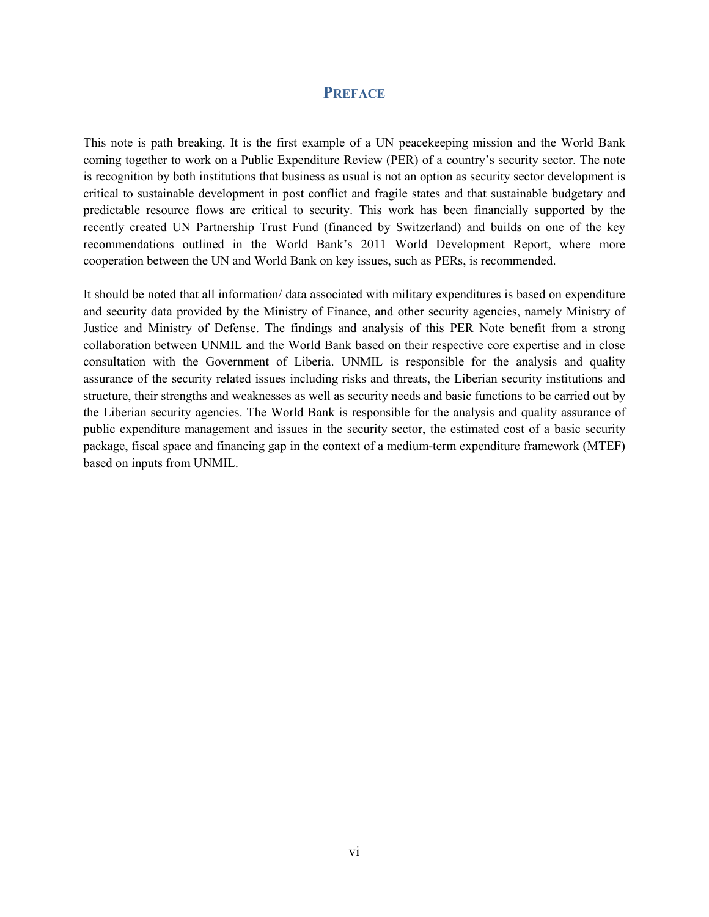#### **PREFACE**

This note is path breaking. It is the first example of a UN peacekeeping mission and the World Bank coming together to work on a Public Expenditure Review (PER) of a country's security sector. The note is recognition by both institutions that business as usual is not an option as security sector development is critical to sustainable development in post conflict and fragile states and that sustainable budgetary and predictable resource flows are critical to security. This work has been financially supported by the recently created UN Partnership Trust Fund (financed by Switzerland) and builds on one of the key recommendations outlined in the World Bank's 2011 World Development Report, where more cooperation between the UN and World Bank on key issues, such as PERs, is recommended.

It should be noted that all information/ data associated with military expenditures is based on expenditure and security data provided by the Ministry of Finance, and other security agencies, namely Ministry of Justice and Ministry of Defense. The findings and analysis of this PER Note benefit from a strong collaboration between UNMIL and the World Bank based on their respective core expertise and in close consultation with the Government of Liberia. UNMIL is responsible for the analysis and quality assurance of the security related issues including risks and threats, the Liberian security institutions and structure, their strengths and weaknesses as well as security needs and basic functions to be carried out by the Liberian security agencies. The World Bank is responsible for the analysis and quality assurance of public expenditure management and issues in the security sector, the estimated cost of a basic security package, fiscal space and financing gap in the context of a medium-term expenditure framework (MTEF) based on inputs from UNMIL.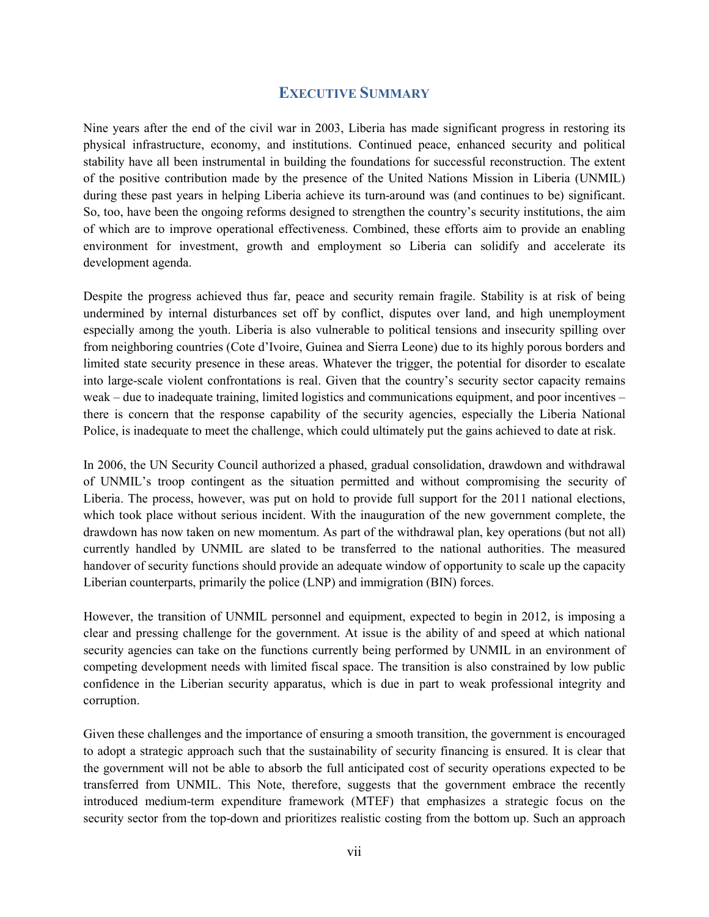#### **EXECUTIVE SUMMARY**

Nine years after the end of the civil war in 2003, Liberia has made significant progress in restoring its physical infrastructure, economy, and institutions. Continued peace, enhanced security and political stability have all been instrumental in building the foundations for successful reconstruction. The extent of the positive contribution made by the presence of the United Nations Mission in Liberia (UNMIL) during these past years in helping Liberia achieve its turn-around was (and continues to be) significant. So, too, have been the ongoing reforms designed to strengthen the country's security institutions, the aim of which are to improve operational effectiveness. Combined, these efforts aim to provide an enabling environment for investment, growth and employment so Liberia can solidify and accelerate its development agenda.

Despite the progress achieved thus far, peace and security remain fragile. Stability is at risk of being undermined by internal disturbances set off by conflict, disputes over land, and high unemployment especially among the youth. Liberia is also vulnerable to political tensions and insecurity spilling over from neighboring countries (Cote d'Ivoire, Guinea and Sierra Leone) due to its highly porous borders and limited state security presence in these areas. Whatever the trigger, the potential for disorder to escalate into large-scale violent confrontations is real. Given that the country's security sector capacity remains weak – due to inadequate training, limited logistics and communications equipment, and poor incentives – there is concern that the response capability of the security agencies, especially the Liberia National Police, is inadequate to meet the challenge, which could ultimately put the gains achieved to date at risk.

In 2006, the UN Security Council authorized a phased, gradual consolidation, drawdown and withdrawal of UNMIL's troop contingent as the situation permitted and without compromising the security of Liberia. The process, however, was put on hold to provide full support for the 2011 national elections, which took place without serious incident. With the inauguration of the new government complete, the drawdown has now taken on new momentum. As part of the withdrawal plan, key operations (but not all) currently handled by UNMIL are slated to be transferred to the national authorities. The measured handover of security functions should provide an adequate window of opportunity to scale up the capacity Liberian counterparts, primarily the police (LNP) and immigration (BIN) forces.

However, the transition of UNMIL personnel and equipment, expected to begin in 2012, is imposing a clear and pressing challenge for the government. At issue is the ability of and speed at which national security agencies can take on the functions currently being performed by UNMIL in an environment of competing development needs with limited fiscal space. The transition is also constrained by low public confidence in the Liberian security apparatus, which is due in part to weak professional integrity and corruption.

Given these challenges and the importance of ensuring a smooth transition, the government is encouraged to adopt a strategic approach such that the sustainability of security financing is ensured. It is clear that the government will not be able to absorb the full anticipated cost of security operations expected to be transferred from UNMIL. This Note, therefore, suggests that the government embrace the recently introduced medium-term expenditure framework (MTEF) that emphasizes a strategic focus on the security sector from the top-down and prioritizes realistic costing from the bottom up. Such an approach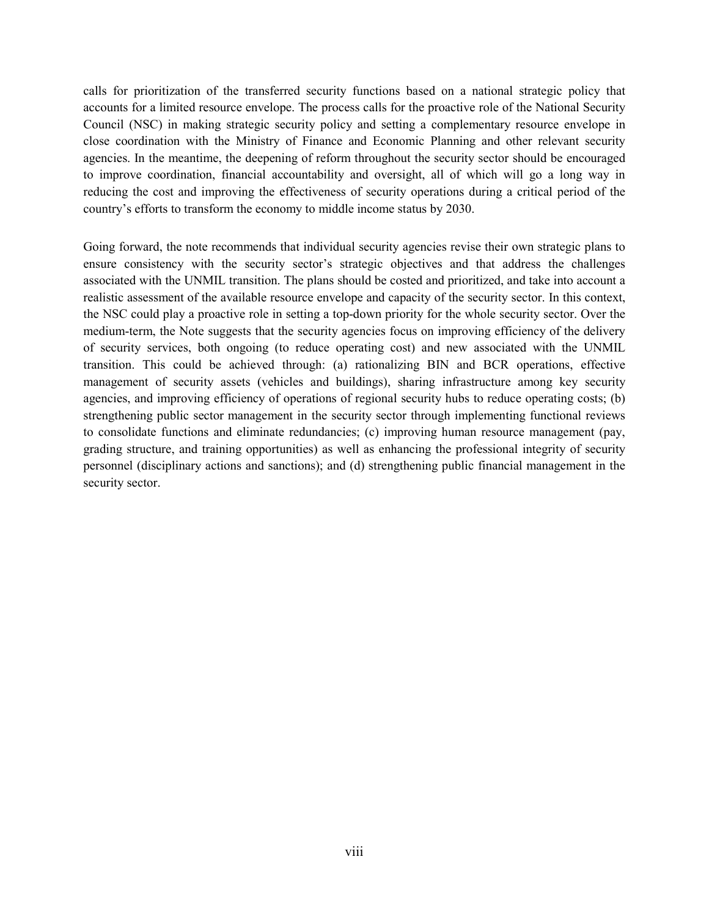calls for prioritization of the transferred security functions based on a national strategic policy that accounts for a limited resource envelope. The process calls for the proactive role of the National Security Council (NSC) in making strategic security policy and setting a complementary resource envelope in close coordination with the Ministry of Finance and Economic Planning and other relevant security agencies. In the meantime, the deepening of reform throughout the security sector should be encouraged to improve coordination, financial accountability and oversight, all of which will go a long way in reducing the cost and improving the effectiveness of security operations during a critical period of the country's efforts to transform the economy to middle income status by 2030.

Going forward, the note recommends that individual security agencies revise their own strategic plans to ensure consistency with the security sector's strategic objectives and that address the challenges associated with the UNMIL transition. The plans should be costed and prioritized, and take into account a realistic assessment of the available resource envelope and capacity of the security sector. In this context, the NSC could play a proactive role in setting a top-down priority for the whole security sector. Over the medium-term, the Note suggests that the security agencies focus on improving efficiency of the delivery of security services, both ongoing (to reduce operating cost) and new associated with the UNMIL transition. This could be achieved through: (a) rationalizing BIN and BCR operations, effective management of security assets (vehicles and buildings), sharing infrastructure among key security agencies, and improving efficiency of operations of regional security hubs to reduce operating costs; (b) strengthening public sector management in the security sector through implementing functional reviews to consolidate functions and eliminate redundancies; (c) improving human resource management (pay, grading structure, and training opportunities) as well as enhancing the professional integrity of security personnel (disciplinary actions and sanctions); and (d) strengthening public financial management in the security sector.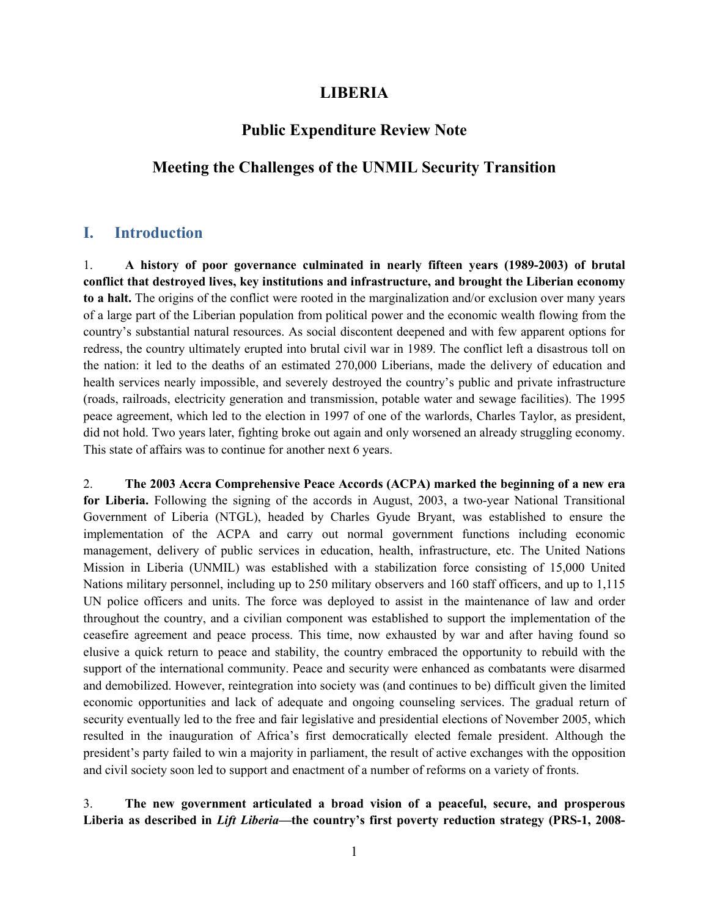#### **LIBERIA**

# **Public Expenditure Review Note**

# **Meeting the Challenges of the UNMIL Security Transition**

#### **I. Introduction**

1. **A history of poor governance culminated in nearly fifteen years (1989-2003) of brutal conflict that destroyed lives, key institutions and infrastructure, and brought the Liberian economy to a halt.** The origins of the conflict were rooted in the marginalization and/or exclusion over many years of a large part of the Liberian population from political power and the economic wealth flowing from the country's substantial natural resources. As social discontent deepened and with few apparent options for redress, the country ultimately erupted into brutal civil war in 1989. The conflict left a disastrous toll on the nation: it led to the deaths of an estimated 270,000 Liberians, made the delivery of education and health services nearly impossible, and severely destroyed the country's public and private infrastructure (roads, railroads, electricity generation and transmission, potable water and sewage facilities). The 1995 peace agreement, which led to the election in 1997 of one of the warlords, Charles Taylor, as president, did not hold. Two years later, fighting broke out again and only worsened an already struggling economy. This state of affairs was to continue for another next 6 years.

2. **The 2003 Accra Comprehensive Peace Accords (ACPA) marked the beginning of a new era for Liberia.** Following the signing of the accords in August, 2003, a two-year National Transitional Government of Liberia (NTGL), headed by Charles Gyude Bryant, was established to ensure the implementation of the ACPA and carry out normal government functions including economic management, delivery of public services in education, health, infrastructure, etc. The United Nations Mission in Liberia (UNMIL) was established with a stabilization force consisting of 15,000 United Nations military personnel, including up to 250 military observers and 160 staff officers, and up to 1,115 UN police officers and units. The force was deployed to assist in the maintenance of law and order throughout the country, and a civilian component was established to support the implementation of the ceasefire agreement and peace process. This time, now exhausted by war and after having found so elusive a quick return to peace and stability, the country embraced the opportunity to rebuild with the support of the international community. Peace and security were enhanced as combatants were disarmed and demobilized. However, reintegration into society was (and continues to be) difficult given the limited economic opportunities and lack of adequate and ongoing counseling services. The gradual return of security eventually led to the free and fair legislative and presidential elections of November 2005, which resulted in the inauguration of Africa's first democratically elected female president. Although the president's party failed to win a majority in parliament, the result of active exchanges with the opposition and civil society soon led to support and enactment of a number of reforms on a variety of fronts.

3. **The new government articulated a broad vision of a peaceful, secure, and prosperous Liberia as described in** *Lift Liberia***—the country's first poverty reduction strategy (PRS-1, 2008-**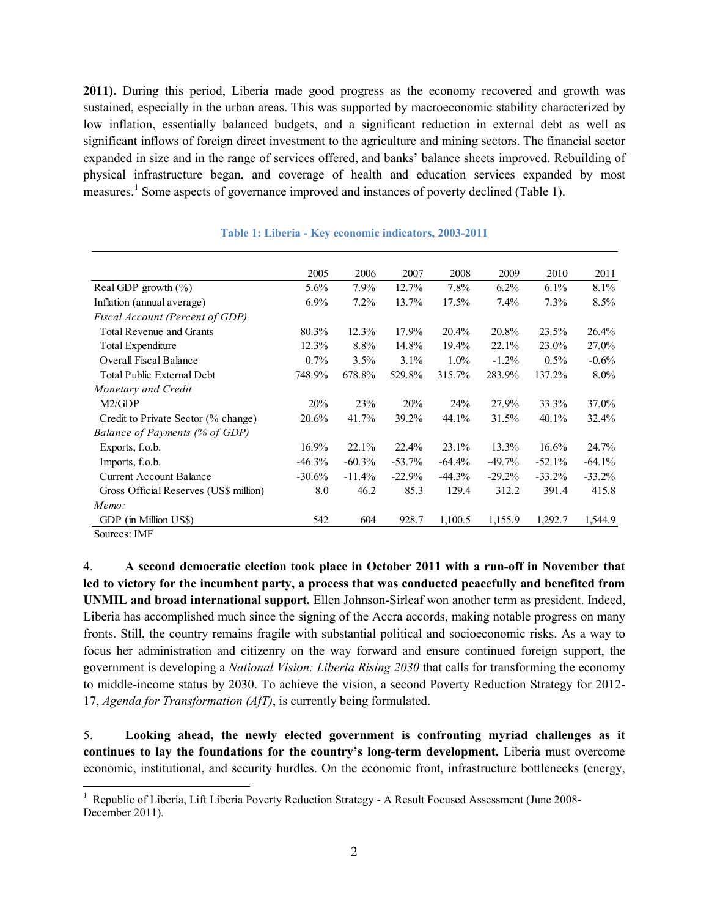**2011).** During this period, Liberia made good progress as the economy recovered and growth was sustained, especially in the urban areas. This was supported by macroeconomic stability characterized by low inflation, essentially balanced budgets, and a significant reduction in external debt as well as significant inflows of foreign direct investment to the agriculture and mining sectors. The financial sector expanded in size and in the range of services offered, and banks' balance sheets improved. Rebuilding of physical infrastructure began, and coverage of health and education services expanded by most measures.<sup>1</sup> Some aspects of governance improved and instances of poverty declined (Table 1).

|                                        | 2005     | 2006     | 2007      | 2008      | 2009     | 2010     | 2011     |
|----------------------------------------|----------|----------|-----------|-----------|----------|----------|----------|
| Real GDP growth $(\%)$                 | 5.6%     | $7.9\%$  | 12.7%     | 7.8%      | 6.2%     | $6.1\%$  | 8.1%     |
| Inflation (annual average)             | $6.9\%$  | 7.2%     | 13.7%     | 17.5%     | 7.4%     | 7.3%     | 8.5%     |
| Fiscal Account (Percent of GDP)        |          |          |           |           |          |          |          |
| <b>Total Revenue and Grants</b>        | 80.3%    | 12.3%    | 17.9%     | 20.4%     | 20.8%    | 23.5%    | 26.4%    |
| Total Expenditure                      | 12.3%    | 8.8%     | 14.8%     | $19.4\%$  | 22.1%    | 23.0%    | 27.0%    |
| <b>Overall Fiscal Balance</b>          | $0.7\%$  | 3.5%     | 3.1%      | $1.0\%$   | $-1.2\%$ | $0.5\%$  | $-0.6%$  |
| Total Public External Debt             | 748.9%   | 678.8%   | 529.8%    | 315.7%    | 283.9%   | 137.2%   | $8.0\%$  |
| Monetary and Credit                    |          |          |           |           |          |          |          |
| M2/GDP                                 | 20%      | 23%      | 20%       | 24%       | 27.9%    | 33.3%    | 37.0%    |
| Credit to Private Sector (% change)    | 20.6%    | 41.7%    | 39.2%     | 44.1%     | 31.5%    | 40.1%    | 32.4%    |
| Balance of Payments (% of GDP)         |          |          |           |           |          |          |          |
| Exports, f.o.b.                        | $16.9\%$ | 22.1%    | $22.4\%$  | 23.1%     | 13.3%    | 16.6%    | 24.7%    |
| Imports, f.o.b.                        | $-46.3%$ | $-60.3%$ | $-53.7\%$ | $-64.4\%$ | $-49.7%$ | $-52.1%$ | $-64.1%$ |
| <b>Current Account Balance</b>         | $-30.6%$ | $-11.4%$ | $-22.9%$  | $-44.3\%$ | $-29.2%$ | $-33.2%$ | $-33.2%$ |
| Gross Official Reserves (US\$ million) | 8.0      | 46.2     | 85.3      | 129.4     | 312.2    | 391.4    | 415.8    |
| Memo:                                  |          |          |           |           |          |          |          |
| GDP (in Million US\$)                  | 542      | 604      | 928.7     | 1,100.5   | 1,155.9  | 1,292.7  | 1,544.9  |

#### **Table 1: Liberia - Key economic indicators, 2003-2011**

Sources: IMF

4. **A second democratic election took place in October 2011 with a run-off in November that led to victory for the incumbent party, a process that was conducted peacefully and benefited from UNMIL and broad international support.** Ellen Johnson-Sirleaf won another term as president. Indeed, Liberia has accomplished much since the signing of the Accra accords, making notable progress on many fronts. Still, the country remains fragile with substantial political and socioeconomic risks. As a way to focus her administration and citizenry on the way forward and ensure continued foreign support, the government is developing a *National Vision: Liberia Rising 2030* that calls for transforming the economy to middle-income status by 2030. To achieve the vision, a second Poverty Reduction Strategy for 2012- 17, *Agenda for Transformation (AfT)*, is currently being formulated.

5. **Looking ahead, the newly elected government is confronting myriad challenges as it continues to lay the foundations for the country's long-term development.** Liberia must overcome economic, institutional, and security hurdles. On the economic front, infrastructure bottlenecks (energy,

l  $1$  Republic of Liberia, Lift Liberia Poverty Reduction Strategy - A Result Focused Assessment (June 2008-December 2011).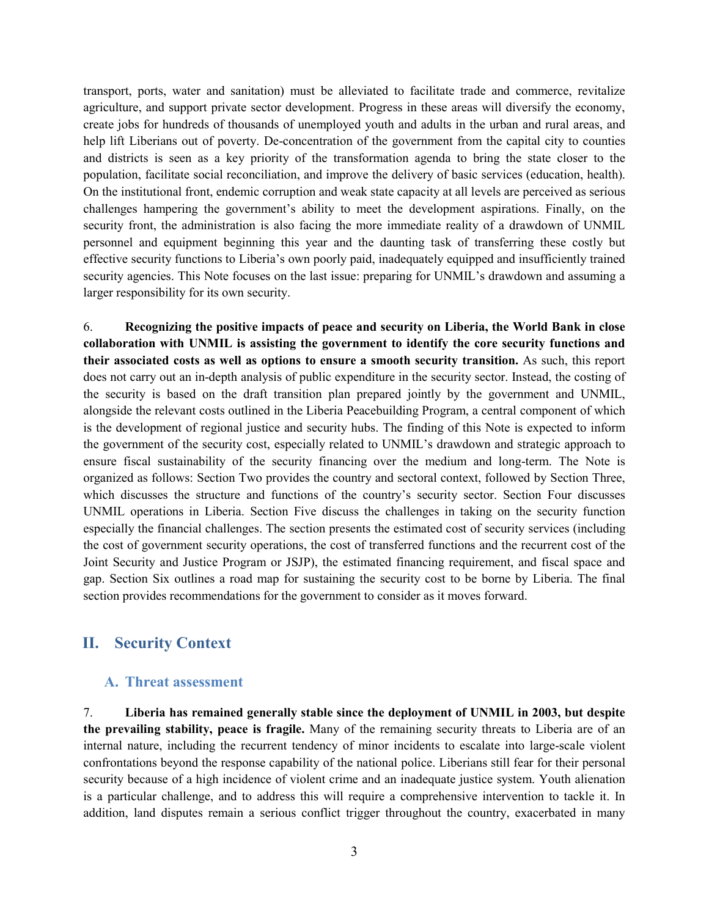transport, ports, water and sanitation) must be alleviated to facilitate trade and commerce, revitalize agriculture, and support private sector development. Progress in these areas will diversify the economy, create jobs for hundreds of thousands of unemployed youth and adults in the urban and rural areas, and help lift Liberians out of poverty. De-concentration of the government from the capital city to counties and districts is seen as a key priority of the transformation agenda to bring the state closer to the population, facilitate social reconciliation, and improve the delivery of basic services (education, health). On the institutional front, endemic corruption and weak state capacity at all levels are perceived as serious challenges hampering the government's ability to meet the development aspirations. Finally, on the security front, the administration is also facing the more immediate reality of a drawdown of UNMIL personnel and equipment beginning this year and the daunting task of transferring these costly but effective security functions to Liberia's own poorly paid, inadequately equipped and insufficiently trained security agencies. This Note focuses on the last issue: preparing for UNMIL's drawdown and assuming a larger responsibility for its own security.

6. **Recognizing the positive impacts of peace and security on Liberia, the World Bank in close collaboration with UNMIL is assisting the government to identify the core security functions and their associated costs as well as options to ensure a smooth security transition.** As such, this report does not carry out an in-depth analysis of public expenditure in the security sector. Instead, the costing of the security is based on the draft transition plan prepared jointly by the government and UNMIL, alongside the relevant costs outlined in the Liberia Peacebuilding Program, a central component of which is the development of regional justice and security hubs. The finding of this Note is expected to inform the government of the security cost, especially related to UNMIL's drawdown and strategic approach to ensure fiscal sustainability of the security financing over the medium and long-term. The Note is organized as follows: Section Two provides the country and sectoral context, followed by Section Three, which discusses the structure and functions of the country's security sector. Section Four discusses UNMIL operations in Liberia. Section Five discuss the challenges in taking on the security function especially the financial challenges. The section presents the estimated cost of security services (including the cost of government security operations, the cost of transferred functions and the recurrent cost of the Joint Security and Justice Program or JSJP), the estimated financing requirement, and fiscal space and gap. Section Six outlines a road map for sustaining the security cost to be borne by Liberia. The final section provides recommendations for the government to consider as it moves forward.

## **II. Security Context**

#### **A. Threat assessment**

7. **Liberia has remained generally stable since the deployment of UNMIL in 2003, but despite the prevailing stability, peace is fragile.** Many of the remaining security threats to Liberia are of an internal nature, including the recurrent tendency of minor incidents to escalate into large-scale violent confrontations beyond the response capability of the national police. Liberians still fear for their personal security because of a high incidence of violent crime and an inadequate justice system. Youth alienation is a particular challenge, and to address this will require a comprehensive intervention to tackle it. In addition, land disputes remain a serious conflict trigger throughout the country, exacerbated in many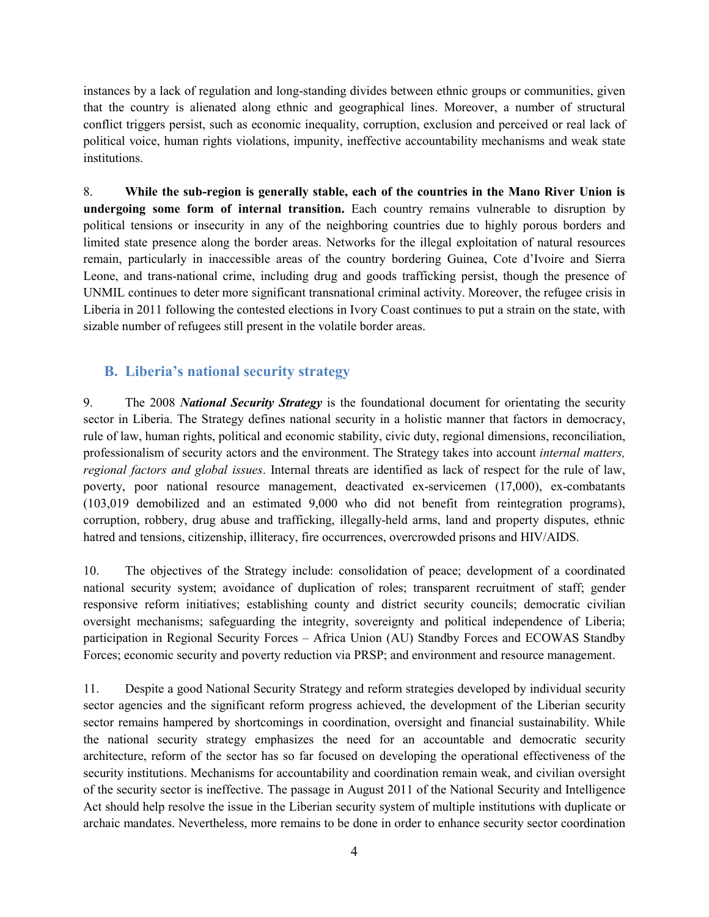instances by a lack of regulation and long-standing divides between ethnic groups or communities, given that the country is alienated along ethnic and geographical lines. Moreover, a number of structural conflict triggers persist, such as economic inequality, corruption, exclusion and perceived or real lack of political voice, human rights violations, impunity, ineffective accountability mechanisms and weak state institutions.

8. **While the sub-region is generally stable, each of the countries in the Mano River Union is undergoing some form of internal transition.** Each country remains vulnerable to disruption by political tensions or insecurity in any of the neighboring countries due to highly porous borders and limited state presence along the border areas. Networks for the illegal exploitation of natural resources remain, particularly in inaccessible areas of the country bordering Guinea, Cote d'Ivoire and Sierra Leone, and trans-national crime, including drug and goods trafficking persist, though the presence of UNMIL continues to deter more significant transnational criminal activity. Moreover, the refugee crisis in Liberia in 2011 following the contested elections in Ivory Coast continues to put a strain on the state, with sizable number of refugees still present in the volatile border areas.

# **B. Liberia's national security strategy**

9. The 2008 *National Security Strategy* is the foundational document for orientating the security sector in Liberia. The Strategy defines national security in a holistic manner that factors in democracy, rule of law, human rights, political and economic stability, civic duty, regional dimensions, reconciliation, professionalism of security actors and the environment. The Strategy takes into account *internal matters, regional factors and global issues*. Internal threats are identified as lack of respect for the rule of law, poverty, poor national resource management, deactivated ex-servicemen (17,000), ex-combatants (103,019 demobilized and an estimated 9,000 who did not benefit from reintegration programs), corruption, robbery, drug abuse and trafficking, illegally-held arms, land and property disputes, ethnic hatred and tensions, citizenship, illiteracy, fire occurrences, overcrowded prisons and HIV/AIDS.

10. The objectives of the Strategy include: consolidation of peace; development of a coordinated national security system; avoidance of duplication of roles; transparent recruitment of staff; gender responsive reform initiatives; establishing county and district security councils; democratic civilian oversight mechanisms; safeguarding the integrity, sovereignty and political independence of Liberia; participation in Regional Security Forces – Africa Union (AU) Standby Forces and ECOWAS Standby Forces; economic security and poverty reduction via PRSP; and environment and resource management.

11. Despite a good National Security Strategy and reform strategies developed by individual security sector agencies and the significant reform progress achieved, the development of the Liberian security sector remains hampered by shortcomings in coordination, oversight and financial sustainability. While the national security strategy emphasizes the need for an accountable and democratic security architecture, reform of the sector has so far focused on developing the operational effectiveness of the security institutions. Mechanisms for accountability and coordination remain weak, and civilian oversight of the security sector is ineffective. The passage in August 2011 of the National Security and Intelligence Act should help resolve the issue in the Liberian security system of multiple institutions with duplicate or archaic mandates. Nevertheless, more remains to be done in order to enhance security sector coordination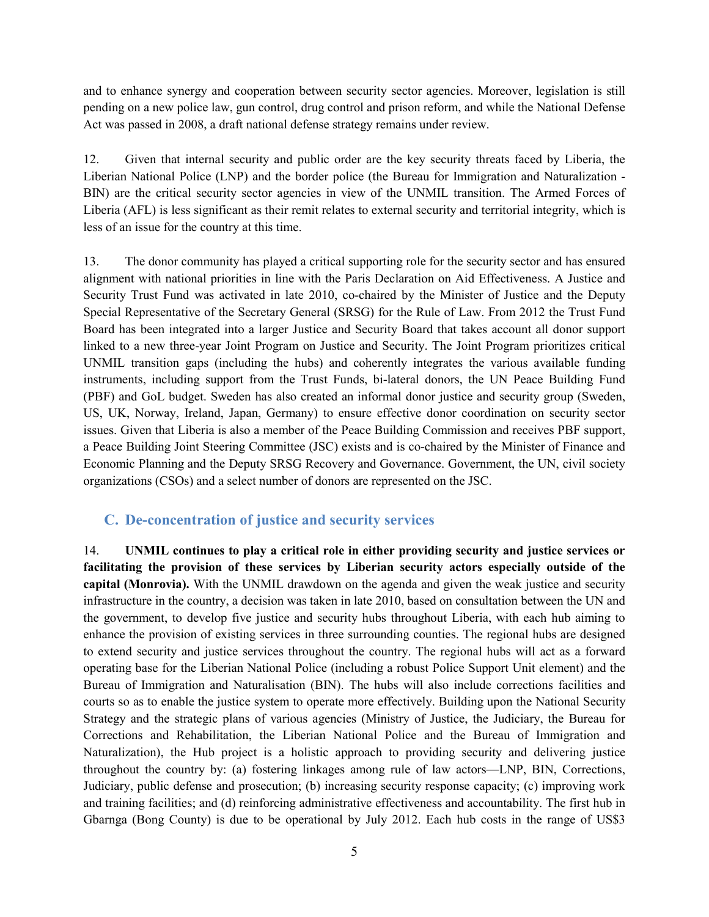and to enhance synergy and cooperation between security sector agencies. Moreover, legislation is still pending on a new police law, gun control, drug control and prison reform, and while the National Defense Act was passed in 2008, a draft national defense strategy remains under review.

12. Given that internal security and public order are the key security threats faced by Liberia, the Liberian National Police (LNP) and the border police (the Bureau for Immigration and Naturalization - BIN) are the critical security sector agencies in view of the UNMIL transition. The Armed Forces of Liberia (AFL) is less significant as their remit relates to external security and territorial integrity, which is less of an issue for the country at this time.

13. The donor community has played a critical supporting role for the security sector and has ensured alignment with national priorities in line with the Paris Declaration on Aid Effectiveness. A Justice and Security Trust Fund was activated in late 2010, co-chaired by the Minister of Justice and the Deputy Special Representative of the Secretary General (SRSG) for the Rule of Law. From 2012 the Trust Fund Board has been integrated into a larger Justice and Security Board that takes account all donor support linked to a new three-year Joint Program on Justice and Security. The Joint Program prioritizes critical UNMIL transition gaps (including the hubs) and coherently integrates the various available funding instruments, including support from the Trust Funds, bi-lateral donors, the UN Peace Building Fund (PBF) and GoL budget. Sweden has also created an informal donor justice and security group (Sweden, US, UK, Norway, Ireland, Japan, Germany) to ensure effective donor coordination on security sector issues. Given that Liberia is also a member of the Peace Building Commission and receives PBF support, a Peace Building Joint Steering Committee (JSC) exists and is co-chaired by the Minister of Finance and Economic Planning and the Deputy SRSG Recovery and Governance. Government, the UN, civil society organizations (CSOs) and a select number of donors are represented on the JSC.

## **C. De-concentration of justice and security services**

14. **UNMIL continues to play a critical role in either providing security and justice services or facilitating the provision of these services by Liberian security actors especially outside of the capital (Monrovia).** With the UNMIL drawdown on the agenda and given the weak justice and security infrastructure in the country, a decision was taken in late 2010, based on consultation between the UN and the government, to develop five justice and security hubs throughout Liberia, with each hub aiming to enhance the provision of existing services in three surrounding counties. The regional hubs are designed to extend security and justice services throughout the country. The regional hubs will act as a forward operating base for the Liberian National Police (including a robust Police Support Unit element) and the Bureau of Immigration and Naturalisation (BIN). The hubs will also include corrections facilities and courts so as to enable the justice system to operate more effectively. Building upon the National Security Strategy and the strategic plans of various agencies (Ministry of Justice, the Judiciary, the Bureau for Corrections and Rehabilitation, the Liberian National Police and the Bureau of Immigration and Naturalization), the Hub project is a holistic approach to providing security and delivering justice throughout the country by: (a) fostering linkages among rule of law actors—LNP, BIN, Corrections, Judiciary, public defense and prosecution; (b) increasing security response capacity; (c) improving work and training facilities; and (d) reinforcing administrative effectiveness and accountability. The first hub in Gbarnga (Bong County) is due to be operational by July 2012. Each hub costs in the range of US\$3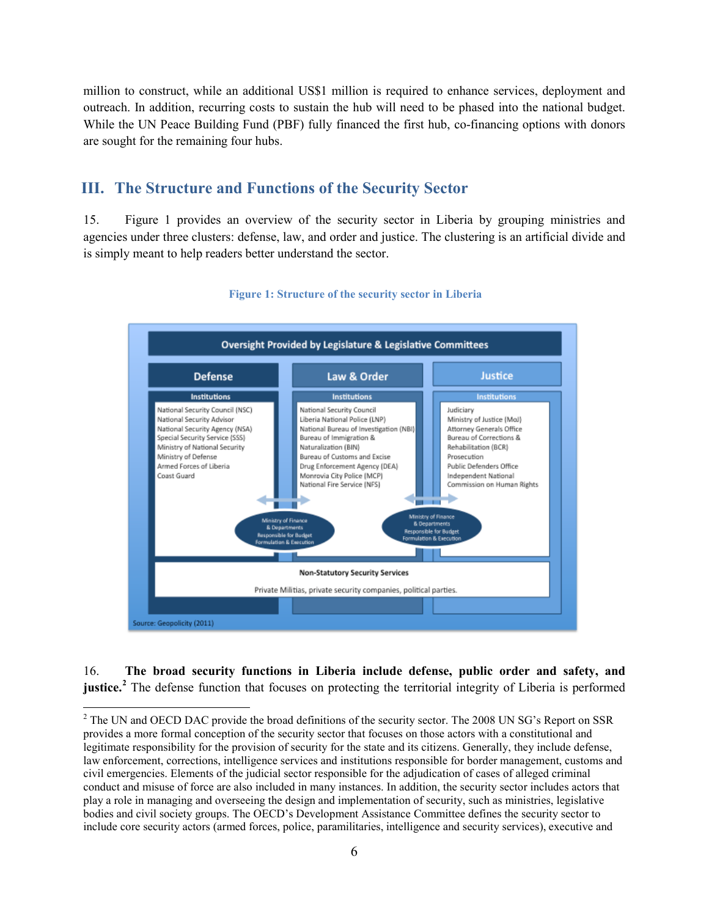million to construct, while an additional US\$1 million is required to enhance services, deployment and outreach. In addition, recurring costs to sustain the hub will need to be phased into the national budget. While the UN Peace Building Fund (PBF) fully financed the first hub, co-financing options with donors are sought for the remaining four hubs.

#### **III. The Structure and Functions of the Security Sector**

15. Figure 1 provides an overview of the security sector in Liberia by grouping ministries and agencies under three clusters: defense, law, and order and justice. The clustering is an artificial divide and is simply meant to help readers better understand the sector.



#### **Figure 1: Structure of the security sector in Liberia**

16. **The broad security functions in Liberia include defense, public order and safety, and justice.**<sup>2</sup> The defense function that focuses on protecting the territorial integrity of Liberia is performed

<sup>&</sup>lt;sup>2</sup> The UN and OECD DAC provide the broad definitions of the security sector. The 2008 UN SG's Report on SSR provides a more formal conception of the security sector that focuses on those actors with a constitutional and legitimate responsibility for the provision of security for the state and its citizens. Generally, they include defense, law enforcement, corrections, intelligence services and institutions responsible for border management, customs and civil emergencies. Elements of the judicial sector responsible for the adjudication of cases of alleged criminal conduct and misuse of force are also included in many instances. In addition, the security sector includes actors that play a role in managing and overseeing the design and implementation of security, such as ministries, legislative bodies and civil society groups. The OECD's Development Assistance Committee defines the security sector to include core security actors (armed forces, police, paramilitaries, intelligence and security services), executive and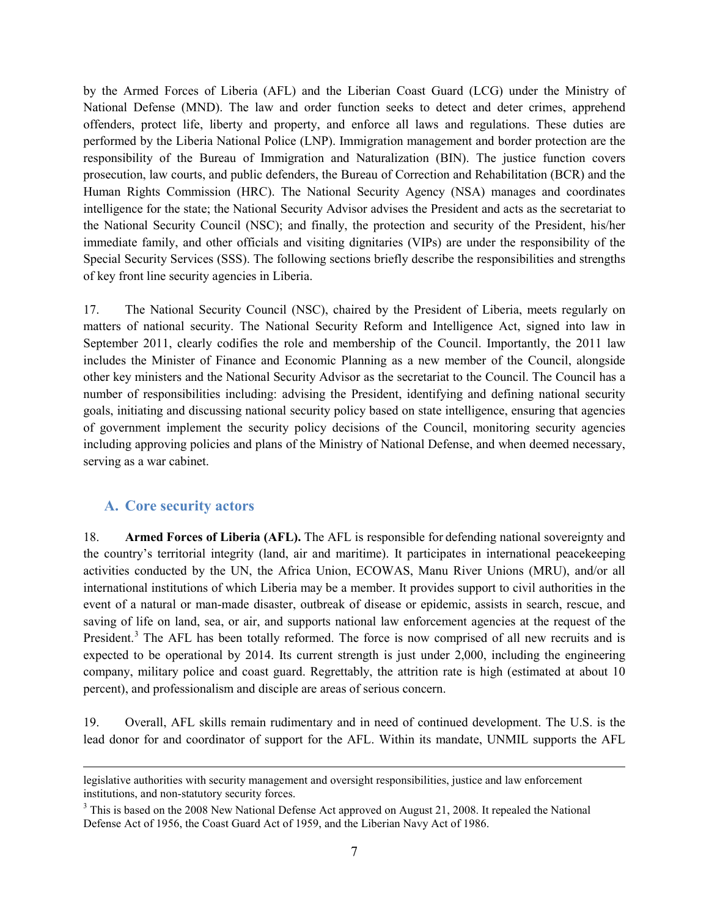by the Armed Forces of Liberia (AFL) and the Liberian Coast Guard (LCG) under the Ministry of National Defense (MND). The law and order function seeks to detect and deter crimes, apprehend offenders, protect life, liberty and property, and enforce all laws and regulations. These duties are performed by the Liberia National Police (LNP). Immigration management and border protection are the responsibility of the Bureau of Immigration and Naturalization (BIN). The justice function covers prosecution, law courts, and public defenders, the Bureau of Correction and Rehabilitation (BCR) and the Human Rights Commission (HRC). The National Security Agency (NSA) manages and coordinates intelligence for the state; the National Security Advisor advises the President and acts as the secretariat to the National Security Council (NSC); and finally, the protection and security of the President, his/her immediate family, and other officials and visiting dignitaries (VIPs) are under the responsibility of the Special Security Services (SSS). The following sections briefly describe the responsibilities and strengths of key front line security agencies in Liberia.

17. The National Security Council (NSC), chaired by the President of Liberia, meets regularly on matters of national security. The National Security Reform and Intelligence Act, signed into law in September 2011, clearly codifies the role and membership of the Council. Importantly, the 2011 law includes the Minister of Finance and Economic Planning as a new member of the Council, alongside other key ministers and the National Security Advisor as the secretariat to the Council. The Council has a number of responsibilities including: advising the President, identifying and defining national security goals, initiating and discussing national security policy based on state intelligence, ensuring that agencies of government implement the security policy decisions of the Council, monitoring security agencies including approving policies and plans of the Ministry of National Defense, and when deemed necessary, serving as a war cabinet.

## **A. Core security actors**

 $\overline{\phantom{a}}$ 

18. **Armed Forces of Liberia (AFL).** The AFL is responsible for defending national sovereignty and the country's territorial integrity (land, air and maritime). It participates in international peacekeeping activities conducted by the UN, the Africa Union, ECOWAS, Manu River Unions (MRU), and/or all international institutions of which Liberia may be a member. It provides support to civil authorities in the event of a natural or man-made disaster, outbreak of disease or epidemic, assists in search, rescue, and saving of life on land, sea, or air, and supports national law enforcement agencies at the request of the President.<sup>3</sup> The AFL has been totally reformed. The force is now comprised of all new recruits and is expected to be operational by 2014. Its current strength is just under 2,000, including the engineering company, military police and coast guard. Regrettably, the attrition rate is high (estimated at about 10 percent), and professionalism and disciple are areas of serious concern.

19. Overall, AFL skills remain rudimentary and in need of continued development. The U.S. is the lead donor for and coordinator of support for the AFL. Within its mandate, UNMIL supports the AFL

legislative authorities with security management and oversight responsibilities, justice and law enforcement institutions, and non-statutory security forces.

<sup>&</sup>lt;sup>3</sup> This is based on the 2008 New National Defense Act approved on August 21, 2008. It repealed the National Defense Act of 1956, the Coast Guard Act of 1959, and the Liberian Navy Act of 1986.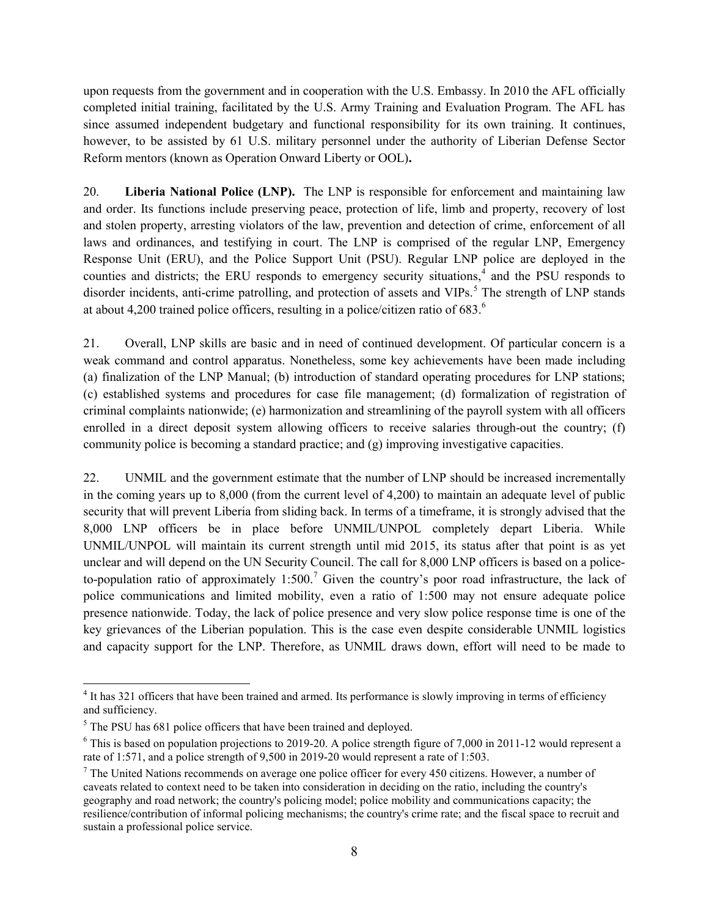upon requests from the government and in cooperation with the U.S. Embassy. In 2010 the AFL officially completed initial training, facilitated by the U.S. Army Training and Evaluation Program. The AFL has since assumed independent budgetary and functional responsibility for its own training. It continues, however, to be assisted by 61 U.S. military personnel under the authority of Liberian Defense Sector Reform mentors (known as Operation Onward Liberty or OOL)**.**

20. **Liberia National Police (LNP).** The LNP is responsible for enforcement and maintaining law and order. Its functions include preserving peace, protection of life, limb and property, recovery of lost and stolen property, arresting violators of the law, prevention and detection of crime, enforcement of all laws and ordinances, and testifying in court. The LNP is comprised of the regular LNP, Emergency Response Unit (ERU), and the Police Support Unit (PSU). Regular LNP police are deployed in the counties and districts; the ERU responds to emergency security situations,<sup>4</sup> and the PSU responds to disorder incidents, anti-crime patrolling, and protection of assets and VIPs.<sup>5</sup> The strength of LNP stands at about 4,200 trained police officers, resulting in a police/citizen ratio of 683.<sup>6</sup>

21. Overall, LNP skills are basic and in need of continued development. Of particular concern is a weak command and control apparatus. Nonetheless, some key achievements have been made including (a) finalization of the LNP Manual; (b) introduction of standard operating procedures for LNP stations; (c) established systems and procedures for case file management; (d) formalization of registration of criminal complaints nationwide; (e) harmonization and streamlining of the payroll system with all officers enrolled in a direct deposit system allowing officers to receive salaries through-out the country; (f) community police is becoming a standard practice; and (g) improving investigative capacities.

22. UNMIL and the government estimate that the number of LNP should be increased incrementally in the coming years up to 8,000 (from the current level of 4,200) to maintain an adequate level of public security that will prevent Liberia from sliding back. In terms of a timeframe, it is strongly advised that the 8,000 LNP officers be in place before UNMIL/UNPOL completely depart Liberia. While UNMIL/UNPOL will maintain its current strength until mid 2015, its status after that point is as yet unclear and will depend on the UN Security Council. The call for 8,000 LNP officers is based on a policeto-population ratio of approximately  $1:500$ .<sup>7</sup> Given the country's poor road infrastructure, the lack of police communications and limited mobility, even a ratio of 1:500 may not ensure adequate police presence nationwide. Today, the lack of police presence and very slow police response time is one of the key grievances of the Liberian population. This is the case even despite considerable UNMIL logistics and capacity support for the LNP. Therefore, as UNMIL draws down, effort will need to be made to

 $\overline{\phantom{a}}$ <sup>4</sup> It has 321 officers that have been trained and armed. Its performance is slowly improving in terms of efficiency and sufficiency.

<sup>&</sup>lt;sup>5</sup> The PSU has 681 police officers that have been trained and deployed.

<sup>6</sup> This is based on population projections to 2019-20. A police strength figure of 7,000 in 2011-12 would represent a rate of 1:571, and a police strength of 9,500 in 2019-20 would represent a rate of 1:503.

 $<sup>7</sup>$  The United Nations recommends on average one police officer for every 450 citizens. However, a number of</sup> caveats related to context need to be taken into consideration in deciding on the ratio, including the country's geography and road network; the country's policing model; police mobility and communications capacity; the resilience/contribution of informal policing mechanisms; the country's crime rate; and the fiscal space to recruit and sustain a professional police service.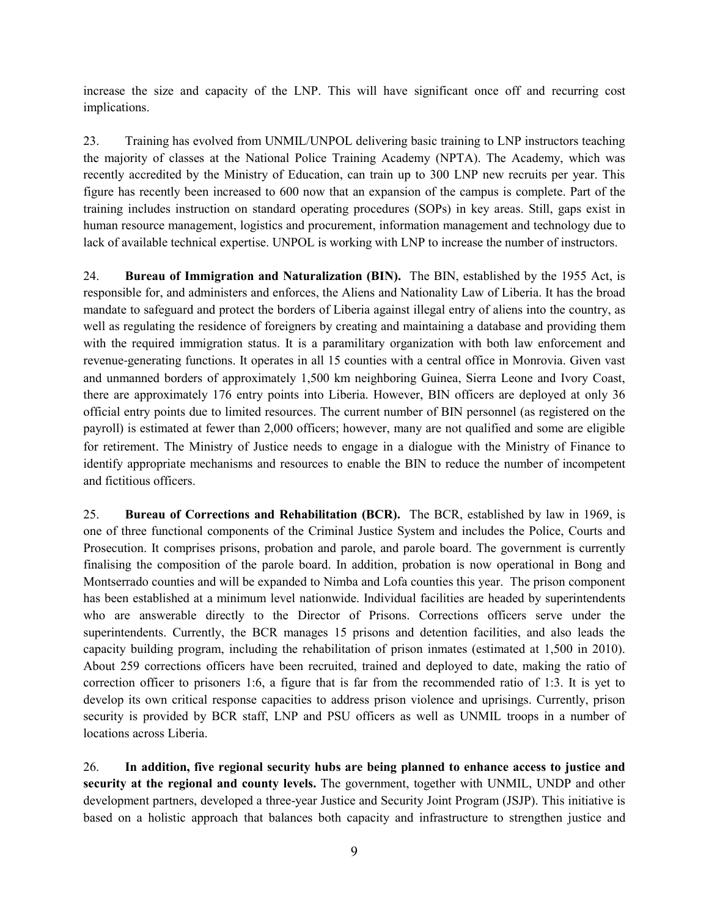increase the size and capacity of the LNP. This will have significant once off and recurring cost implications.

23. Training has evolved from UNMIL/UNPOL delivering basic training to LNP instructors teaching the majority of classes at the National Police Training Academy (NPTA). The Academy, which was recently accredited by the Ministry of Education, can train up to 300 LNP new recruits per year. This figure has recently been increased to 600 now that an expansion of the campus is complete. Part of the training includes instruction on standard operating procedures (SOPs) in key areas. Still, gaps exist in human resource management, logistics and procurement, information management and technology due to lack of available technical expertise. UNPOL is working with LNP to increase the number of instructors.

24. **Bureau of Immigration and Naturalization (BIN).** The BIN, established by the 1955 Act, is responsible for, and administers and enforces, the Aliens and Nationality Law of Liberia. It has the broad mandate to safeguard and protect the borders of Liberia against illegal entry of aliens into the country, as well as regulating the residence of foreigners by creating and maintaining a database and providing them with the required immigration status. It is a paramilitary organization with both law enforcement and revenue-generating functions. It operates in all 15 counties with a central office in Monrovia. Given vast and unmanned borders of approximately 1,500 km neighboring Guinea, Sierra Leone and Ivory Coast, there are approximately 176 entry points into Liberia. However, BIN officers are deployed at only 36 official entry points due to limited resources. The current number of BIN personnel (as registered on the payroll) is estimated at fewer than 2,000 officers; however, many are not qualified and some are eligible for retirement. The Ministry of Justice needs to engage in a dialogue with the Ministry of Finance to identify appropriate mechanisms and resources to enable the BIN to reduce the number of incompetent and fictitious officers.

25. **Bureau of Corrections and Rehabilitation (BCR).** The BCR, established by law in 1969, is one of three functional components of the Criminal Justice System and includes the Police, Courts and Prosecution. It comprises prisons, probation and parole, and parole board. The government is currently finalising the composition of the parole board. In addition, probation is now operational in Bong and Montserrado counties and will be expanded to Nimba and Lofa counties this year. The prison component has been established at a minimum level nationwide. Individual facilities are headed by superintendents who are answerable directly to the Director of Prisons. Corrections officers serve under the superintendents. Currently, the BCR manages 15 prisons and detention facilities, and also leads the capacity building program, including the rehabilitation of prison inmates (estimated at 1,500 in 2010). About 259 corrections officers have been recruited, trained and deployed to date, making the ratio of correction officer to prisoners 1:6, a figure that is far from the recommended ratio of 1:3. It is yet to develop its own critical response capacities to address prison violence and uprisings. Currently, prison security is provided by BCR staff, LNP and PSU officers as well as UNMIL troops in a number of locations across Liberia.

26. **In addition, five regional security hubs are being planned to enhance access to justice and security at the regional and county levels.** The government, together with UNMIL, UNDP and other development partners, developed a three-year Justice and Security Joint Program (JSJP). This initiative is based on a holistic approach that balances both capacity and infrastructure to strengthen justice and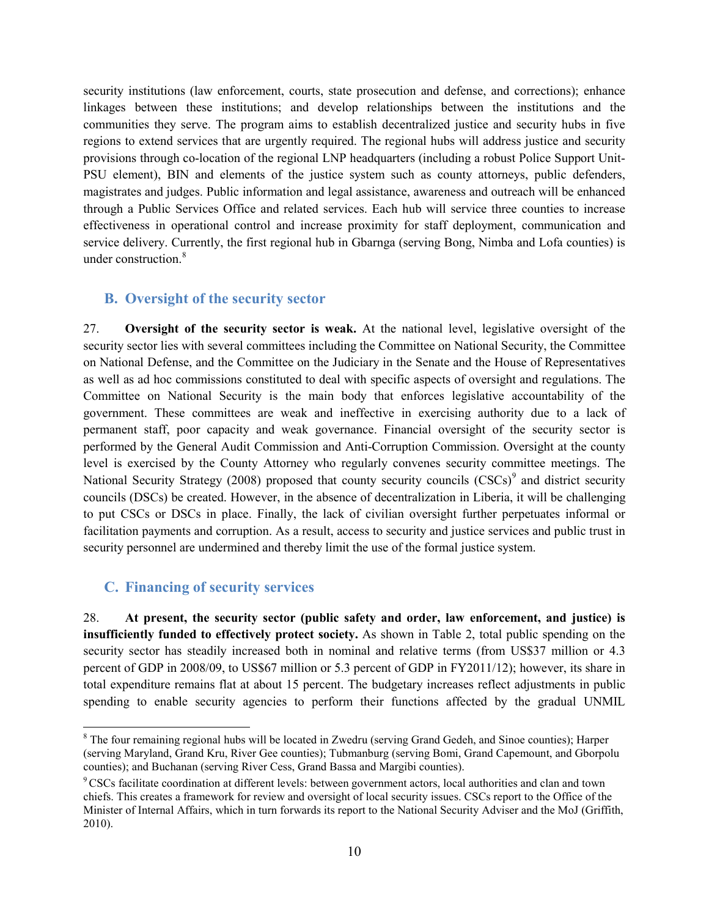security institutions (law enforcement, courts, state prosecution and defense, and corrections); enhance linkages between these institutions; and develop relationships between the institutions and the communities they serve. The program aims to establish decentralized justice and security hubs in five regions to extend services that are urgently required. The regional hubs will address justice and security provisions through co-location of the regional LNP headquarters (including a robust Police Support Unit-PSU element), BIN and elements of the justice system such as county attorneys, public defenders, magistrates and judges. Public information and legal assistance, awareness and outreach will be enhanced through a Public Services Office and related services. Each hub will service three counties to increase effectiveness in operational control and increase proximity for staff deployment, communication and service delivery. Currently, the first regional hub in Gbarnga (serving Bong, Nimba and Lofa counties) is under construction.<sup>8</sup>

## **B. Oversight of the security sector**

27. **Oversight of the security sector is weak.** At the national level, legislative oversight of the security sector lies with several committees including the Committee on National Security, the Committee on National Defense, and the Committee on the Judiciary in the Senate and the House of Representatives as well as ad hoc commissions constituted to deal with specific aspects of oversight and regulations. The Committee on National Security is the main body that enforces legislative accountability of the government. These committees are weak and ineffective in exercising authority due to a lack of permanent staff, poor capacity and weak governance. Financial oversight of the security sector is performed by the General Audit Commission and Anti-Corruption Commission. Oversight at the county level is exercised by the County Attorney who regularly convenes security committee meetings. The National Security Strategy (2008) proposed that county security councils  $(CSCs)^9$  and district security councils (DSCs) be created. However, in the absence of decentralization in Liberia, it will be challenging to put CSCs or DSCs in place. Finally, the lack of civilian oversight further perpetuates informal or facilitation payments and corruption. As a result, access to security and justice services and public trust in security personnel are undermined and thereby limit the use of the formal justice system.

## **C. Financing of security services**

l

28. **At present, the security sector (public safety and order, law enforcement, and justice) is insufficiently funded to effectively protect society.** As shown in Table 2, total public spending on the security sector has steadily increased both in nominal and relative terms (from US\$37 million or 4.3 percent of GDP in 2008/09, to US\$67 million or 5.3 percent of GDP in FY2011/12); however, its share in total expenditure remains flat at about 15 percent. The budgetary increases reflect adjustments in public spending to enable security agencies to perform their functions affected by the gradual UNMIL

<sup>&</sup>lt;sup>8</sup> The four remaining regional hubs will be located in Zwedru (serving Grand Gedeh, and Sinoe counties); Harper (serving Maryland, Grand Kru, River Gee counties); Tubmanburg (serving Bomi, Grand Capemount, and Gborpolu counties); and Buchanan (serving River Cess, Grand Bassa and Margibi counties).

<sup>&</sup>lt;sup>9</sup> CSCs facilitate coordination at different levels: between government actors, local authorities and clan and town chiefs. This creates a framework for review and oversight of local security issues. CSCs report to the Office of the Minister of Internal Affairs, which in turn forwards its report to the National Security Adviser and the MoJ (Griffith, 2010).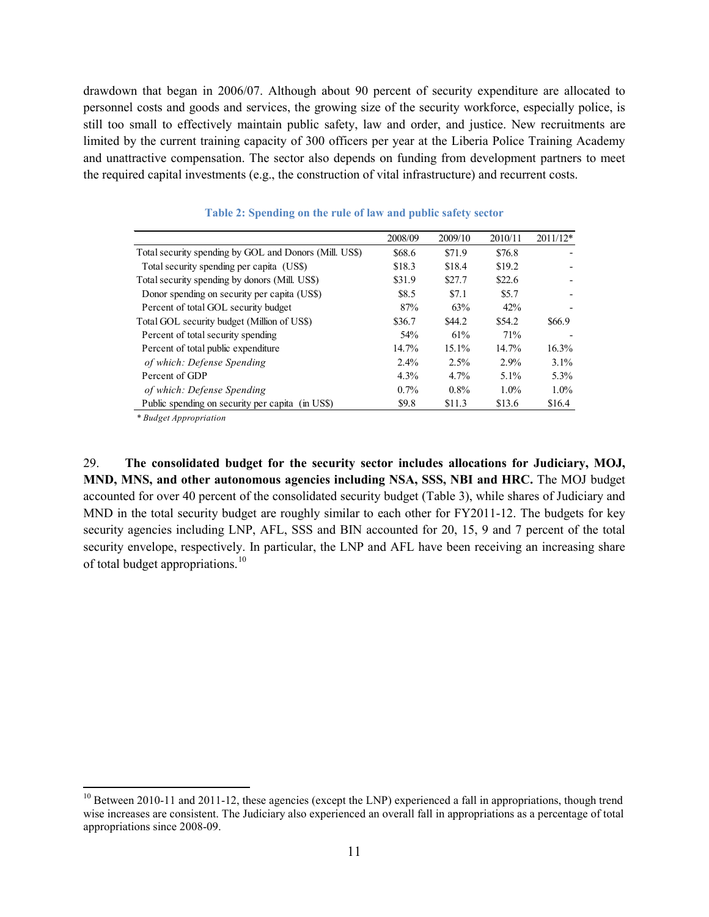drawdown that began in 2006/07. Although about 90 percent of security expenditure are allocated to personnel costs and goods and services, the growing size of the security workforce, especially police, is still too small to effectively maintain public safety, law and order, and justice. New recruitments are limited by the current training capacity of 300 officers per year at the Liberia Police Training Academy and unattractive compensation. The sector also depends on funding from development partners to meet the required capital investments (e.g., the construction of vital infrastructure) and recurrent costs.

|                                                        | 2008/09 | 2009/10 | 2010/11 | $2011/12*$ |
|--------------------------------------------------------|---------|---------|---------|------------|
| Total security spending by GOL and Donors (Mill. US\$) | \$68.6  | \$71.9  | \$76.8  |            |
| Total security spending per capita (US\$)              | \$18.3  | \$18.4  | \$19.2  |            |
| Total security spending by donors (Mill. US\$)         | \$31.9  | \$27.7  | \$22.6  |            |
| Donor spending on security per capita (US\$)           | \$8.5   | \$7.1   | \$5.7   |            |
| Percent of total GOL security budget                   | 87%     | 63%     | 42%     |            |
| Total GOL security budget (Million of US\$)            | \$36.7  | \$44.2  | \$54.2  | \$66.9     |
| Percent of total security spending                     | 54%     | 61%     | 71%     |            |
| Percent of total public expenditure                    | 14.7%   | 15.1%   | 14.7%   | 16.3%      |
| of which: Defense Spending                             | 2.4%    | 2.5%    | 2.9%    | $3.1\%$    |
| Percent of GDP                                         | 4.3%    | $4.7\%$ | $5.1\%$ | 5.3%       |
| of which: Defense Spending                             | 0.7%    | 0.8%    | $1.0\%$ | $1.0\%$    |
| Public spending on security per capita (in US\$)       | \$9.8   | \$11.3  | \$13.6  | \$16.4     |

**Table 2: Spending on the rule of law and public safety sector**

*\* Budget Appropriation*

 $\overline{a}$ 

29. **The consolidated budget for the security sector includes allocations for Judiciary, MOJ, MND, MNS, and other autonomous agencies including NSA, SSS, NBI and HRC.** The MOJ budget accounted for over 40 percent of the consolidated security budget (Table 3), while shares of Judiciary and MND in the total security budget are roughly similar to each other for FY2011-12. The budgets for key security agencies including LNP, AFL, SSS and BIN accounted for 20, 15, 9 and 7 percent of the total security envelope, respectively. In particular, the LNP and AFL have been receiving an increasing share of total budget appropriations.<sup>10</sup>

 $10$  Between 2010-11 and 2011-12, these agencies (except the LNP) experienced a fall in appropriations, though trend wise increases are consistent. The Judiciary also experienced an overall fall in appropriations as a percentage of total appropriations since 2008-09.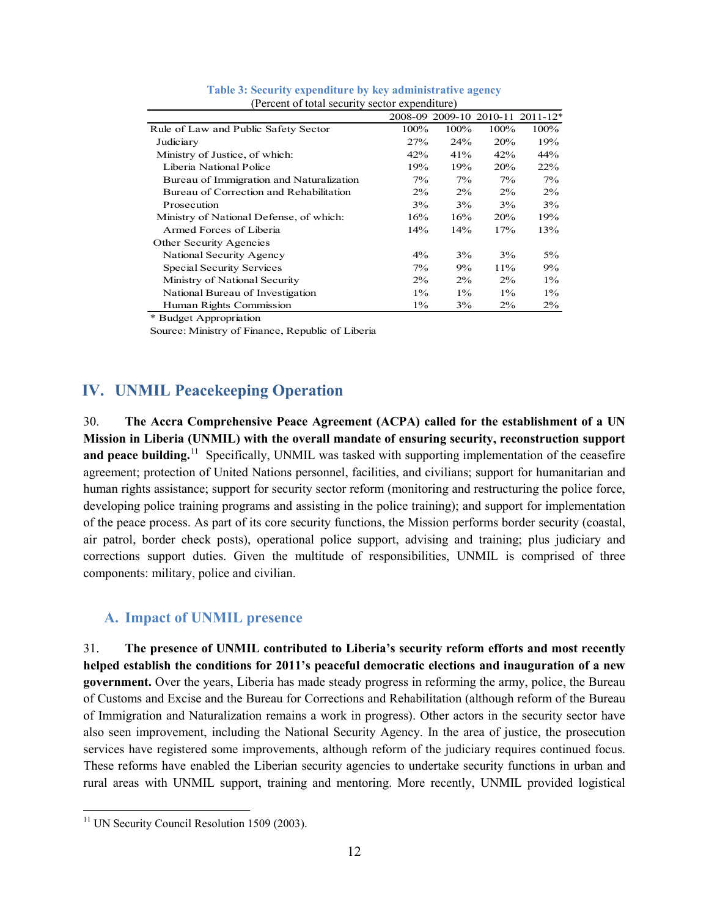|                                          |       |       |            | 2008-09 2009-10 2010-11 2011-12* |  |  |  |  |  |
|------------------------------------------|-------|-------|------------|----------------------------------|--|--|--|--|--|
| Rule of Law and Public Safety Sector     | 100%  | 100%  | 100%       | 100%                             |  |  |  |  |  |
| Judiciary                                | 27%   | 24%   | <b>20%</b> | 19%                              |  |  |  |  |  |
| Ministry of Justice, of which:           | 42%   | 41%   | 42%        | 44%                              |  |  |  |  |  |
| Liberia National Police                  | 19%   | 19%   | <b>20%</b> | <b>22%</b>                       |  |  |  |  |  |
| Bureau of Immigration and Naturalization | $7\%$ | $7\%$ | $7\%$      | $7\%$                            |  |  |  |  |  |
| Bureau of Correction and Rehabilitation  | $2\%$ | $2\%$ | $2\%$      | $2\%$                            |  |  |  |  |  |
| Prosecution                              | 3%    | 3%    | 3%         | 3%                               |  |  |  |  |  |
| Ministry of National Defense, of which:  | 16%   | 16%   | <b>20%</b> | 19%                              |  |  |  |  |  |
| Armed Forces of Liberia                  | 14%   | 14%   | 17%        | 13%                              |  |  |  |  |  |
| Other Security Agencies                  |       |       |            |                                  |  |  |  |  |  |
| National Security Agency                 | $4\%$ | 3%    | 3%         | $5\%$                            |  |  |  |  |  |
| Special Security Services                | $7\%$ | 9%    | 11%        | $9\%$                            |  |  |  |  |  |
| Ministry of National Security            | $2\%$ | $2\%$ | $2\%$      | $1\%$                            |  |  |  |  |  |
| National Bureau of Investigation         | $1\%$ | $1\%$ | $1\%$      | $1\%$                            |  |  |  |  |  |
| Human Rights Commission                  | $1\%$ | 3%    | $2\%$      | $2\%$                            |  |  |  |  |  |

|  |  | Table 3: Security expenditure by key administrative agency |  |
|--|--|------------------------------------------------------------|--|
|  |  | (Percent of total security sector expenditure)             |  |

\* Budget Appropriation

Source: Ministry of Finance, Republic of Liberia

# **IV. UNMIL Peacekeeping Operation**

30. **The Accra Comprehensive Peace Agreement (ACPA) called for the establishment of a UN Mission in Liberia (UNMIL) with the overall mandate of ensuring security, reconstruction support and peace building.**<sup>11</sup> Specifically, UNMIL was tasked with supporting implementation of the ceasefire agreement; protection of United Nations personnel, facilities, and civilians; support for humanitarian and human rights assistance; support for security sector reform (monitoring and restructuring the police force, developing police training programs and assisting in the police training); and support for implementation of the peace process. As part of its core security functions, the Mission performs border security (coastal, air patrol, border check posts), operational police support, advising and training; plus judiciary and corrections support duties. Given the multitude of responsibilities, UNMIL is comprised of three components: military, police and civilian.

#### **A. Impact of UNMIL presence**

31. **The presence of UNMIL contributed to Liberia's security reform efforts and most recently helped establish the conditions for 2011's peaceful democratic elections and inauguration of a new government.** Over the years, Liberia has made steady progress in reforming the army, police, the Bureau of Customs and Excise and the Bureau for Corrections and Rehabilitation (although reform of the Bureau of Immigration and Naturalization remains a work in progress). Other actors in the security sector have also seen improvement, including the National Security Agency. In the area of justice, the prosecution services have registered some improvements, although reform of the judiciary requires continued focus. These reforms have enabled the Liberian security agencies to undertake security functions in urban and rural areas with UNMIL support, training and mentoring. More recently, UNMIL provided logistical

l

<sup>&</sup>lt;sup>11</sup> UN Security Council Resolution 1509 (2003).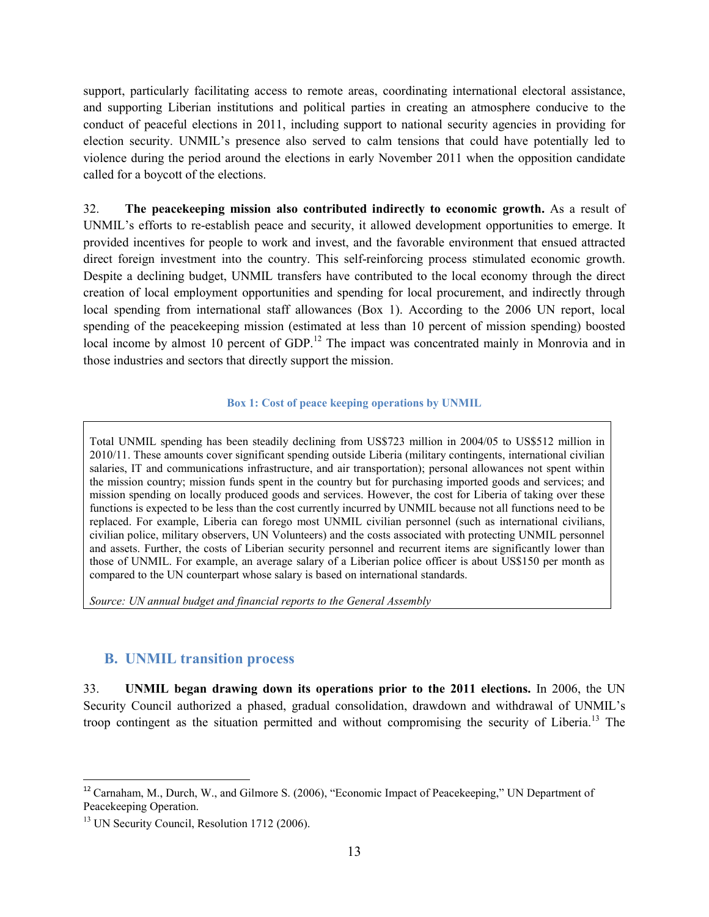support, particularly facilitating access to remote areas, coordinating international electoral assistance, and supporting Liberian institutions and political parties in creating an atmosphere conducive to the conduct of peaceful elections in 2011, including support to national security agencies in providing for election security. UNMIL's presence also served to calm tensions that could have potentially led to violence during the period around the elections in early November 2011 when the opposition candidate called for a boycott of the elections.

32. **The peacekeeping mission also contributed indirectly to economic growth.** As a result of UNMIL's efforts to re-establish peace and security, it allowed development opportunities to emerge. It provided incentives for people to work and invest, and the favorable environment that ensued attracted direct foreign investment into the country. This self-reinforcing process stimulated economic growth. Despite a declining budget, UNMIL transfers have contributed to the local economy through the direct creation of local employment opportunities and spending for local procurement, and indirectly through local spending from international staff allowances (Box 1). According to the 2006 UN report, local spending of the peacekeeping mission (estimated at less than 10 percent of mission spending) boosted local income by almost 10 percent of GDP.<sup>12</sup> The impact was concentrated mainly in Monrovia and in those industries and sectors that directly support the mission.

**Box 1: Cost of peace keeping operations by UNMIL**

Total UNMIL spending has been steadily declining from US\$723 million in 2004/05 to US\$512 million in 2010/11. These amounts cover significant spending outside Liberia (military contingents, international civilian salaries, IT and communications infrastructure, and air transportation); personal allowances not spent within the mission country; mission funds spent in the country but for purchasing imported goods and services; and mission spending on locally produced goods and services. However, the cost for Liberia of taking over these functions is expected to be less than the cost currently incurred by UNMIL because not all functions need to be replaced. For example, Liberia can forego most UNMIL civilian personnel (such as international civilians, civilian police, military observers, UN Volunteers) and the costs associated with protecting UNMIL personnel and assets. Further, the costs of Liberian security personnel and recurrent items are significantly lower than those of UNMIL. For example, an average salary of a Liberian police officer is about US\$150 per month as compared to the UN counterpart whose salary is based on international standards.

*Source: UN annual budget and financial reports to the General Assembly*

## **B. UNMIL transition process**

33. **UNMIL began drawing down its operations prior to the 2011 elections.** In 2006, the UN Security Council authorized a phased, gradual consolidation, drawdown and withdrawal of UNMIL's troop contingent as the situation permitted and without compromising the security of Liberia.<sup>13</sup> The

l

 $12$  Carnaham, M., Durch, W., and Gilmore S. (2006), "Economic Impact of Peacekeeping," UN Department of Peacekeeping Operation.

<sup>&</sup>lt;sup>13</sup> UN Security Council, Resolution 1712 (2006).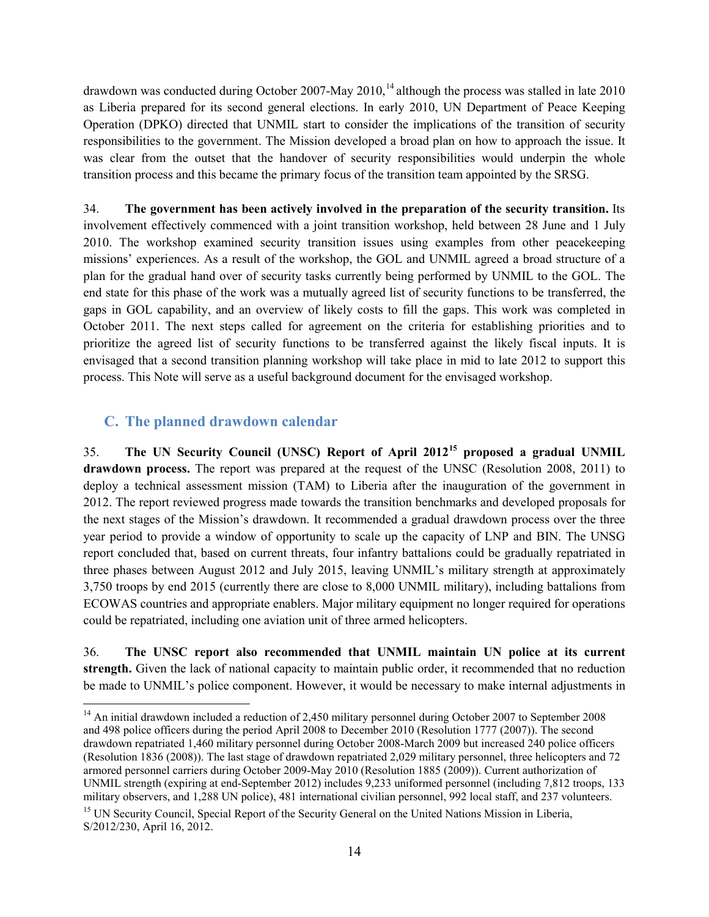drawdown was conducted during October 2007-May 2010, <sup>14</sup> although the process was stalled in late 2010 as Liberia prepared for its second general elections. In early 2010, UN Department of Peace Keeping Operation (DPKO) directed that UNMIL start to consider the implications of the transition of security responsibilities to the government. The Mission developed a broad plan on how to approach the issue. It was clear from the outset that the handover of security responsibilities would underpin the whole transition process and this became the primary focus of the transition team appointed by the SRSG.

34. **The government has been actively involved in the preparation of the security transition.** Its involvement effectively commenced with a joint transition workshop, held between 28 June and 1 July 2010. The workshop examined security transition issues using examples from other peacekeeping missions' experiences. As a result of the workshop, the GOL and UNMIL agreed a broad structure of a plan for the gradual hand over of security tasks currently being performed by UNMIL to the GOL. The end state for this phase of the work was a mutually agreed list of security functions to be transferred, the gaps in GOL capability, and an overview of likely costs to fill the gaps. This work was completed in October 2011. The next steps called for agreement on the criteria for establishing priorities and to prioritize the agreed list of security functions to be transferred against the likely fiscal inputs. It is envisaged that a second transition planning workshop will take place in mid to late 2012 to support this process. This Note will serve as a useful background document for the envisaged workshop.

## **C. The planned drawdown calendar**

35. **The UN Security Council (UNSC) Report of April 2012<sup>15</sup> proposed a gradual UNMIL drawdown process.** The report was prepared at the request of the UNSC (Resolution 2008, 2011) to deploy a technical assessment mission (TAM) to Liberia after the inauguration of the government in 2012. The report reviewed progress made towards the transition benchmarks and developed proposals for the next stages of the Mission's drawdown. It recommended a gradual drawdown process over the three year period to provide a window of opportunity to scale up the capacity of LNP and BIN. The UNSG report concluded that, based on current threats, four infantry battalions could be gradually repatriated in three phases between August 2012 and July 2015, leaving UNMIL's military strength at approximately 3,750 troops by end 2015 (currently there are close to 8,000 UNMIL military), including battalions from ECOWAS countries and appropriate enablers. Major military equipment no longer required for operations could be repatriated, including one aviation unit of three armed helicopters.

36. **The UNSC report also recommended that UNMIL maintain UN police at its current strength.** Given the lack of national capacity to maintain public order, it recommended that no reduction be made to UNMIL's police component. However, it would be necessary to make internal adjustments in

 $\overline{a}$ <sup>14</sup> An initial drawdown included a reduction of 2,450 military personnel during October 2007 to September 2008 and 498 police officers during the period April 2008 to December 2010 (Resolution 1777 (2007)). The second drawdown repatriated 1,460 military personnel during October 2008-March 2009 but increased 240 police officers (Resolution 1836 (2008)). The last stage of drawdown repatriated 2,029 military personnel, three helicopters and 72 armored personnel carriers during October 2009-May 2010 (Resolution 1885 (2009)). Current authorization of UNMIL strength (expiring at end-September 2012) includes 9,233 uniformed personnel (including 7,812 troops, 133 military observers, and 1,288 UN police), 481 international civilian personnel, 992 local staff, and 237 volunteers.

<sup>&</sup>lt;sup>15</sup> UN Security Council, Special Report of the Security General on the United Nations Mission in Liberia, S/2012/230, April 16, 2012.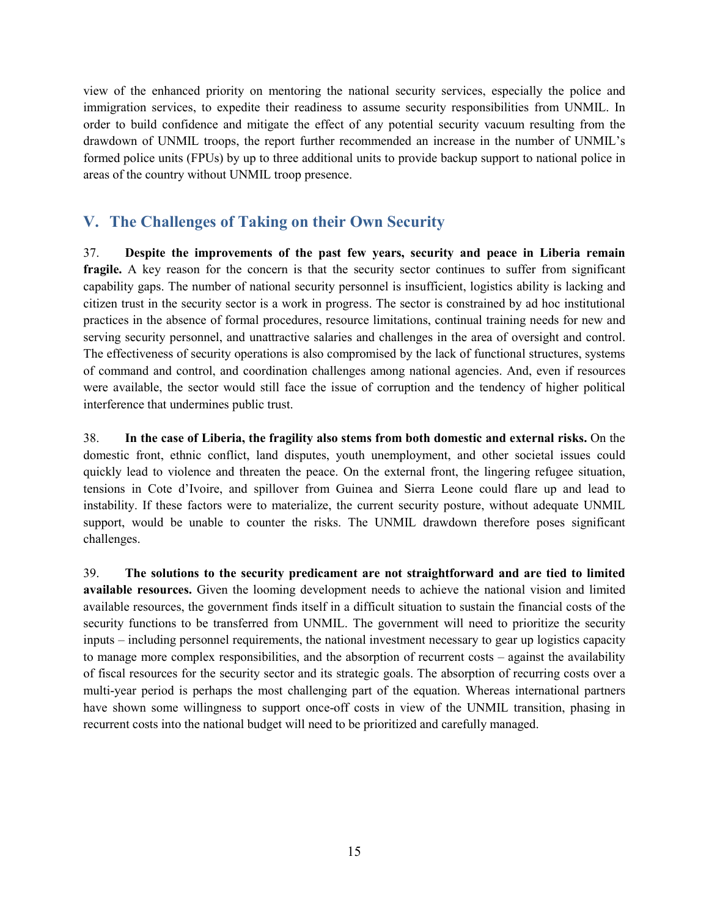view of the enhanced priority on mentoring the national security services, especially the police and immigration services, to expedite their readiness to assume security responsibilities from UNMIL. In order to build confidence and mitigate the effect of any potential security vacuum resulting from the drawdown of UNMIL troops, the report further recommended an increase in the number of UNMIL's formed police units (FPUs) by up to three additional units to provide backup support to national police in areas of the country without UNMIL troop presence.

# **V. The Challenges of Taking on their Own Security**

37. **Despite the improvements of the past few years, security and peace in Liberia remain fragile.** A key reason for the concern is that the security sector continues to suffer from significant capability gaps. The number of national security personnel is insufficient, logistics ability is lacking and citizen trust in the security sector is a work in progress. The sector is constrained by ad hoc institutional practices in the absence of formal procedures, resource limitations, continual training needs for new and serving security personnel, and unattractive salaries and challenges in the area of oversight and control. The effectiveness of security operations is also compromised by the lack of functional structures, systems of command and control, and coordination challenges among national agencies. And, even if resources were available, the sector would still face the issue of corruption and the tendency of higher political interference that undermines public trust.

38. **In the case of Liberia, the fragility also stems from both domestic and external risks.** On the domestic front, ethnic conflict, land disputes, youth unemployment, and other societal issues could quickly lead to violence and threaten the peace. On the external front, the lingering refugee situation, tensions in Cote d'Ivoire, and spillover from Guinea and Sierra Leone could flare up and lead to instability. If these factors were to materialize, the current security posture, without adequate UNMIL support, would be unable to counter the risks. The UNMIL drawdown therefore poses significant challenges.

39. **The solutions to the security predicament are not straightforward and are tied to limited available resources.** Given the looming development needs to achieve the national vision and limited available resources, the government finds itself in a difficult situation to sustain the financial costs of the security functions to be transferred from UNMIL. The government will need to prioritize the security inputs – including personnel requirements, the national investment necessary to gear up logistics capacity to manage more complex responsibilities, and the absorption of recurrent costs – against the availability of fiscal resources for the security sector and its strategic goals. The absorption of recurring costs over a multi-year period is perhaps the most challenging part of the equation. Whereas international partners have shown some willingness to support once-off costs in view of the UNMIL transition, phasing in recurrent costs into the national budget will need to be prioritized and carefully managed.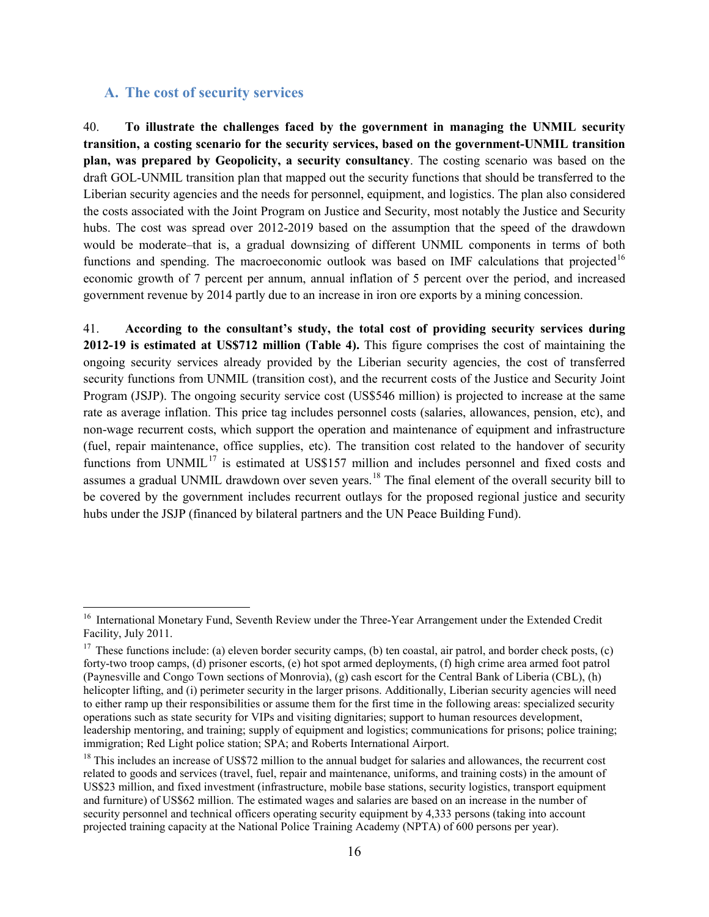#### **A. The cost of security services**

 $\overline{\phantom{a}}$ 

40. **To illustrate the challenges faced by the government in managing the UNMIL security transition, a costing scenario for the security services, based on the government-UNMIL transition plan, was prepared by Geopolicity, a security consultancy**. The costing scenario was based on the draft GOL-UNMIL transition plan that mapped out the security functions that should be transferred to the Liberian security agencies and the needs for personnel, equipment, and logistics. The plan also considered the costs associated with the Joint Program on Justice and Security, most notably the Justice and Security hubs. The cost was spread over 2012-2019 based on the assumption that the speed of the drawdown would be moderate–that is, a gradual downsizing of different UNMIL components in terms of both functions and spending. The macroeconomic outlook was based on IMF calculations that projected<sup>16</sup> economic growth of 7 percent per annum, annual inflation of 5 percent over the period, and increased government revenue by 2014 partly due to an increase in iron ore exports by a mining concession.

41. **According to the consultant's study, the total cost of providing security services during 2012-19 is estimated at US\$712 million (Table 4).** This figure comprises the cost of maintaining the ongoing security services already provided by the Liberian security agencies, the cost of transferred security functions from UNMIL (transition cost), and the recurrent costs of the Justice and Security Joint Program (JSJP). The ongoing security service cost (US\$546 million) is projected to increase at the same rate as average inflation. This price tag includes personnel costs (salaries, allowances, pension, etc), and non-wage recurrent costs, which support the operation and maintenance of equipment and infrastructure (fuel, repair maintenance, office supplies, etc). The transition cost related to the handover of security functions from UNMIL<sup>17</sup> is estimated at US\$157 million and includes personnel and fixed costs and assumes a gradual UNMIL drawdown over seven years.<sup>18</sup> The final element of the overall security bill to be covered by the government includes recurrent outlays for the proposed regional justice and security hubs under the JSJP (financed by bilateral partners and the UN Peace Building Fund).

<sup>&</sup>lt;sup>16</sup> International Monetary Fund, Seventh Review under the Three-Year Arrangement under the Extended Credit Facility, July 2011.

<sup>&</sup>lt;sup>17</sup> These functions include: (a) eleven border security camps, (b) ten coastal, air patrol, and border check posts, (c) forty-two troop camps, (d) prisoner escorts, (e) hot spot armed deployments, (f) high crime area armed foot patrol (Paynesville and Congo Town sections of Monrovia), (g) cash escort for the Central Bank of Liberia (CBL), (h) helicopter lifting, and (i) perimeter security in the larger prisons. Additionally, Liberian security agencies will need to either ramp up their responsibilities or assume them for the first time in the following areas: specialized security operations such as state security for VIPs and visiting dignitaries; support to human resources development, leadership mentoring, and training; supply of equipment and logistics; communications for prisons; police training; immigration; Red Light police station; SPA; and Roberts International Airport.

 $18$  This includes an increase of US\$72 million to the annual budget for salaries and allowances, the recurrent cost related to goods and services (travel, fuel, repair and maintenance, uniforms, and training costs) in the amount of US\$23 million, and fixed investment (infrastructure, mobile base stations, security logistics, transport equipment and furniture) of US\$62 million. The estimated wages and salaries are based on an increase in the number of security personnel and technical officers operating security equipment by 4,333 persons (taking into account projected training capacity at the National Police Training Academy (NPTA) of 600 persons per year).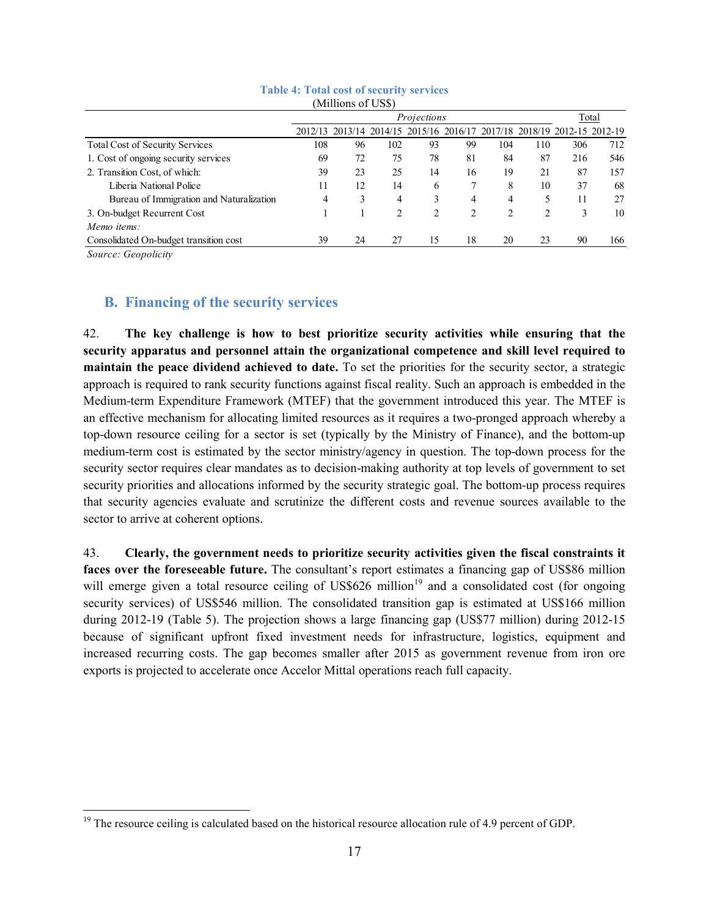|                                          |     | Projections |     |    |    |                |                | Total                                                                   |     |
|------------------------------------------|-----|-------------|-----|----|----|----------------|----------------|-------------------------------------------------------------------------|-----|
|                                          |     |             |     |    |    |                |                | 2012/13 2013/14 2014/15 2015/16 2016/17 2017/18 2018/19 2012-15 2012-19 |     |
| <b>Total Cost of Security Services</b>   | 108 | 96          | 102 | 93 | 99 | 104            | 110            | 306                                                                     | 712 |
| 1. Cost of ongoing security services     | 69  | 72          | 75  | 78 | 81 | 84             | 87             | 216                                                                     | 546 |
| 2. Transition Cost, of which:            | 39  | 23          | 25  | 14 | 16 | 19             | 21             | 87                                                                      | 157 |
| Liberia National Police                  | 11  | 12          | 14  | 6  |    | 8              | 10             | 37                                                                      | 68  |
| Bureau of Immigration and Naturalization | 4   | 3           | 4   |    | 4  | 4              | 5              |                                                                         | 27  |
| 3. On-budget Recurrent Cost              |     |             | 2   |    | 2  | $\mathfrak{D}$ | $\mathfrak{D}$ |                                                                         | 10  |
| Memo items:                              |     |             |     |    |    |                |                |                                                                         |     |
| Consolidated On-budget transition cost   | 39  | 24          | 27  | 15 | 18 | 20             | 23             | 90                                                                      | 166 |

#### **Table 4: Total cost of security services** (Millions of US\$)

*Source: Geopolicity*

l

#### **B. Financing of the security services**

42. **The key challenge is how to best prioritize security activities while ensuring that the security apparatus and personnel attain the organizational competence and skill level required to maintain the peace dividend achieved to date.** To set the priorities for the security sector, a strategic approach is required to rank security functions against fiscal reality. Such an approach is embedded in the Medium-term Expenditure Framework (MTEF) that the government introduced this year. The MTEF is an effective mechanism for allocating limited resources as it requires a two-pronged approach whereby a top-down resource ceiling for a sector is set (typically by the Ministry of Finance), and the bottom-up medium-term cost is estimated by the sector ministry/agency in question. The top-down process for the security sector requires clear mandates as to decision-making authority at top levels of government to set security priorities and allocations informed by the security strategic goal. The bottom-up process requires that security agencies evaluate and scrutinize the different costs and revenue sources available to the sector to arrive at coherent options.

43. **Clearly, the government needs to prioritize security activities given the fiscal constraints it faces over the foreseeable future.** The consultant's report estimates a financing gap of US\$86 million will emerge given a total resource ceiling of US\$626 million<sup>19</sup> and a consolidated cost (for ongoing security services) of US\$546 million. The consolidated transition gap is estimated at US\$166 million during 2012-19 (Table 5). The projection shows a large financing gap (US\$77 million) during 2012-15 because of significant upfront fixed investment needs for infrastructure, logistics, equipment and increased recurring costs. The gap becomes smaller after 2015 as government revenue from iron ore exports is projected to accelerate once Accelor Mittal operations reach full capacity.

 $19$  The resource ceiling is calculated based on the historical resource allocation rule of 4.9 percent of GDP.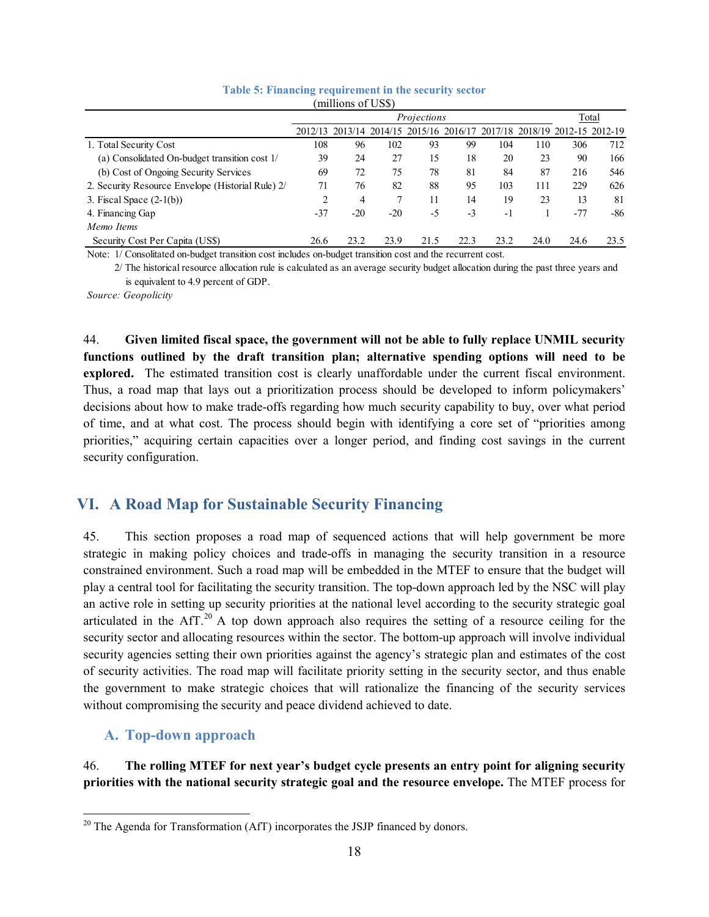|                                                   |      | Projections |       |      |      |      |      |                                                                         | Total |  |
|---------------------------------------------------|------|-------------|-------|------|------|------|------|-------------------------------------------------------------------------|-------|--|
|                                                   |      |             |       |      |      |      |      | 2012/13 2013/14 2014/15 2015/16 2016/17 2017/18 2018/19 2012-15 2012-19 |       |  |
| 1. Total Security Cost                            | 108  | 96          | 102   | 93   | 99   | 104  | 110  | 306                                                                     | 712   |  |
| (a) Consolidated On-budget transition cost 1/     | 39   | 24          | 27    | 15   | 18   | 20   | 23   | 90                                                                      | 166   |  |
| (b) Cost of Ongoing Security Services             | 69   | 72          | 75    | 78   | 81   | 84   | 87   | 216                                                                     | 546   |  |
| 2. Security Resource Envelope (Historial Rule) 2/ | 71   | 76          | 82    | 88   | 95   | 103  | 111  | 229                                                                     | 626   |  |
| 3. Fiscal Space $(2-1(b))$                        | 2    | 4           | 7     | 11   | 14   | 19   | 23   | 13                                                                      | 81    |  |
| 4. Financing Gap                                  | -37  | $-20$       | $-20$ | -5   | $-3$ | $-1$ |      | $-77$                                                                   | $-86$ |  |
| Memo Items                                        |      |             |       |      |      |      |      |                                                                         |       |  |
| Security Cost Per Capita (US\$)                   | 26.6 | 23.2        | 23.9  | 21.5 | 22.3 | 23.2 | 24.0 | 24.6                                                                    | 23.5  |  |

#### **Table 5: Financing requirement in the security sector**  $(millions of HSS)$

Note: 1/ Consolitated on-budget transition cost includes on-budget transition cost and the recurrent cost.

 2/ The historical resource allocation rule is calculated as an average security budget allocation during the past three years and is equivalent to 4.9 percent of GDP.

*Source: Geopolicity*

44. **Given limited fiscal space, the government will not be able to fully replace UNMIL security functions outlined by the draft transition plan; alternative spending options will need to be explored.** The estimated transition cost is clearly unaffordable under the current fiscal environment. Thus, a road map that lays out a prioritization process should be developed to inform policymakers' decisions about how to make trade-offs regarding how much security capability to buy, over what period of time, and at what cost. The process should begin with identifying a core set of "priorities among priorities," acquiring certain capacities over a longer period, and finding cost savings in the current security configuration.

# **VI. A Road Map for Sustainable Security Financing**

45. This section proposes a road map of sequenced actions that will help government be more strategic in making policy choices and trade-offs in managing the security transition in a resource constrained environment. Such a road map will be embedded in the MTEF to ensure that the budget will play a central tool for facilitating the security transition. The top-down approach led by the NSC will play an active role in setting up security priorities at the national level according to the security strategic goal articulated in the AfT.<sup>20</sup> A top down approach also requires the setting of a resource ceiling for the security sector and allocating resources within the sector. The bottom-up approach will involve individual security agencies setting their own priorities against the agency's strategic plan and estimates of the cost of security activities. The road map will facilitate priority setting in the security sector, and thus enable the government to make strategic choices that will rationalize the financing of the security services without compromising the security and peace dividend achieved to date.

## **A. Top-down approach**

46. **The rolling MTEF for next year's budget cycle presents an entry point for aligning security priorities with the national security strategic goal and the resource envelope.** The MTEF process for

l  $20$  The Agenda for Transformation (AfT) incorporates the JSJP financed by donors.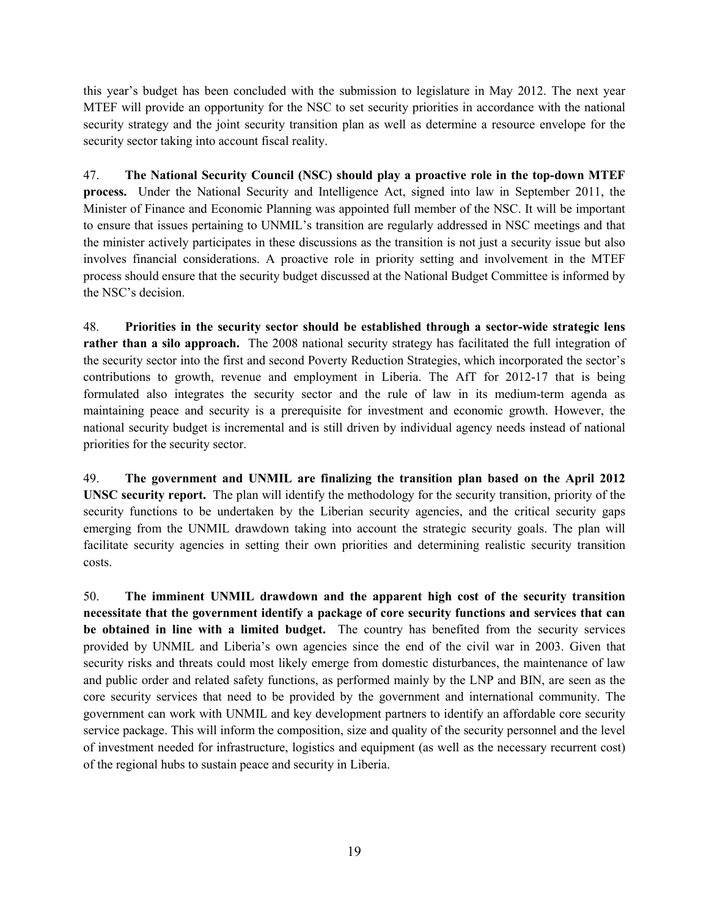this year's budget has been concluded with the submission to legislature in May 2012. The next year MTEF will provide an opportunity for the NSC to set security priorities in accordance with the national security strategy and the joint security transition plan as well as determine a resource envelope for the security sector taking into account fiscal reality.

47. **The National Security Council (NSC) should play a proactive role in the top-down MTEF process.** Under the National Security and Intelligence Act, signed into law in September 2011, the Minister of Finance and Economic Planning was appointed full member of the NSC. It will be important to ensure that issues pertaining to UNMIL's transition are regularly addressed in NSC meetings and that the minister actively participates in these discussions as the transition is not just a security issue but also involves financial considerations. A proactive role in priority setting and involvement in the MTEF process should ensure that the security budget discussed at the National Budget Committee is informed by the NSC's decision.

48. **Priorities in the security sector should be established through a sector-wide strategic lens rather than a silo approach.** The 2008 national security strategy has facilitated the full integration of the security sector into the first and second Poverty Reduction Strategies, which incorporated the sector's contributions to growth, revenue and employment in Liberia. The AfT for 2012-17 that is being formulated also integrates the security sector and the rule of law in its medium-term agenda as maintaining peace and security is a prerequisite for investment and economic growth. However, the national security budget is incremental and is still driven by individual agency needs instead of national priorities for the security sector.

49. **The government and UNMIL are finalizing the transition plan based on the April 2012 UNSC security report.** The plan will identify the methodology for the security transition, priority of the security functions to be undertaken by the Liberian security agencies, and the critical security gaps emerging from the UNMIL drawdown taking into account the strategic security goals. The plan will facilitate security agencies in setting their own priorities and determining realistic security transition costs.

50. **The imminent UNMIL drawdown and the apparent high cost of the security transition necessitate that the government identify a package of core security functions and services that can be obtained in line with a limited budget.** The country has benefited from the security services provided by UNMIL and Liberia's own agencies since the end of the civil war in 2003. Given that security risks and threats could most likely emerge from domestic disturbances, the maintenance of law and public order and related safety functions, as performed mainly by the LNP and BIN, are seen as the core security services that need to be provided by the government and international community. The government can work with UNMIL and key development partners to identify an affordable core security service package. This will inform the composition, size and quality of the security personnel and the level of investment needed for infrastructure, logistics and equipment (as well as the necessary recurrent cost) of the regional hubs to sustain peace and security in Liberia.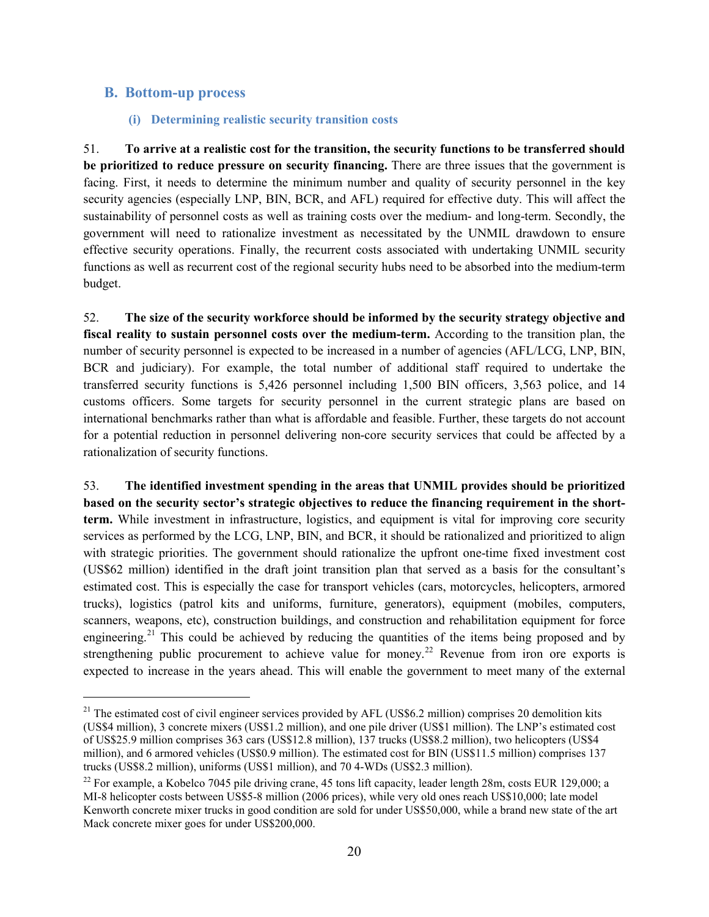#### **B. Bottom-up process**

 $\overline{a}$ 

#### **(i) Determining realistic security transition costs**

51. **To arrive at a realistic cost for the transition, the security functions to be transferred should be prioritized to reduce pressure on security financing.** There are three issues that the government is facing. First, it needs to determine the minimum number and quality of security personnel in the key security agencies (especially LNP, BIN, BCR, and AFL) required for effective duty. This will affect the sustainability of personnel costs as well as training costs over the medium- and long-term. Secondly, the government will need to rationalize investment as necessitated by the UNMIL drawdown to ensure effective security operations. Finally, the recurrent costs associated with undertaking UNMIL security functions as well as recurrent cost of the regional security hubs need to be absorbed into the medium-term budget.

52. **The size of the security workforce should be informed by the security strategy objective and fiscal reality to sustain personnel costs over the medium-term.** According to the transition plan, the number of security personnel is expected to be increased in a number of agencies (AFL/LCG, LNP, BIN, BCR and judiciary). For example, the total number of additional staff required to undertake the transferred security functions is 5,426 personnel including 1,500 BIN officers, 3,563 police, and 14 customs officers. Some targets for security personnel in the current strategic plans are based on international benchmarks rather than what is affordable and feasible. Further, these targets do not account for a potential reduction in personnel delivering non-core security services that could be affected by a rationalization of security functions.

53. **The identified investment spending in the areas that UNMIL provides should be prioritized based on the security sector's strategic objectives to reduce the financing requirement in the shortterm.** While investment in infrastructure, logistics, and equipment is vital for improving core security services as performed by the LCG, LNP, BIN, and BCR, it should be rationalized and prioritized to align with strategic priorities. The government should rationalize the upfront one-time fixed investment cost (US\$62 million) identified in the draft joint transition plan that served as a basis for the consultant's estimated cost. This is especially the case for transport vehicles (cars, motorcycles, helicopters, armored trucks), logistics (patrol kits and uniforms, furniture, generators), equipment (mobiles, computers, scanners, weapons, etc), construction buildings, and construction and rehabilitation equipment for force engineering.<sup>21</sup> This could be achieved by reducing the quantities of the items being proposed and by strengthening public procurement to achieve value for money.<sup>22</sup> Revenue from iron ore exports is expected to increase in the years ahead. This will enable the government to meet many of the external

<sup>&</sup>lt;sup>21</sup> The estimated cost of civil engineer services provided by AFL (US\$6.2 million) comprises 20 demolition kits (US\$4 million), 3 concrete mixers (US\$1.2 million), and one pile driver (US\$1 million). The LNP's estimated cost of US\$25.9 million comprises 363 cars (US\$12.8 million), 137 trucks (US\$8.2 million), two helicopters (US\$4 million), and 6 armored vehicles (US\$0.9 million). The estimated cost for BIN (US\$11.5 million) comprises 137 trucks (US\$8.2 million), uniforms (US\$1 million), and 70 4-WDs (US\$2.3 million).

<sup>&</sup>lt;sup>22</sup> For example, a Kobelco 7045 pile driving crane, 45 tons lift capacity, leader length 28m, costs EUR 129,000; a MI-8 helicopter costs between US\$5-8 million (2006 prices), while very old ones reach US\$10,000; late model Kenworth concrete mixer trucks in good condition are sold for under US\$50,000, while a brand new state of the art Mack concrete mixer goes for under US\$200,000.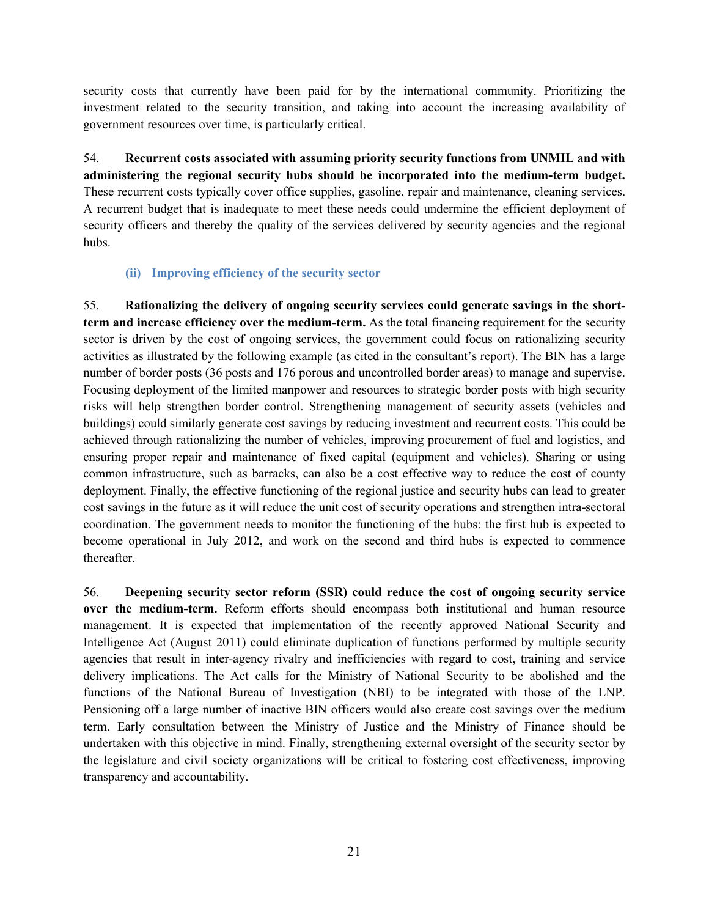security costs that currently have been paid for by the international community. Prioritizing the investment related to the security transition, and taking into account the increasing availability of government resources over time, is particularly critical.

54. **Recurrent costs associated with assuming priority security functions from UNMIL and with administering the regional security hubs should be incorporated into the medium-term budget.**  These recurrent costs typically cover office supplies, gasoline, repair and maintenance, cleaning services. A recurrent budget that is inadequate to meet these needs could undermine the efficient deployment of security officers and thereby the quality of the services delivered by security agencies and the regional hubs.

#### **(ii) Improving efficiency of the security sector**

55. **Rationalizing the delivery of ongoing security services could generate savings in the shortterm and increase efficiency over the medium-term.** As the total financing requirement for the security sector is driven by the cost of ongoing services, the government could focus on rationalizing security activities as illustrated by the following example (as cited in the consultant's report). The BIN has a large number of border posts (36 posts and 176 porous and uncontrolled border areas) to manage and supervise. Focusing deployment of the limited manpower and resources to strategic border posts with high security risks will help strengthen border control. Strengthening management of security assets (vehicles and buildings) could similarly generate cost savings by reducing investment and recurrent costs. This could be achieved through rationalizing the number of vehicles, improving procurement of fuel and logistics, and ensuring proper repair and maintenance of fixed capital (equipment and vehicles). Sharing or using common infrastructure, such as barracks, can also be a cost effective way to reduce the cost of county deployment. Finally, the effective functioning of the regional justice and security hubs can lead to greater cost savings in the future as it will reduce the unit cost of security operations and strengthen intra-sectoral coordination. The government needs to monitor the functioning of the hubs: the first hub is expected to become operational in July 2012, and work on the second and third hubs is expected to commence thereafter.

56. **Deepening security sector reform (SSR) could reduce the cost of ongoing security service over the medium-term.** Reform efforts should encompass both institutional and human resource management. It is expected that implementation of the recently approved National Security and Intelligence Act (August 2011) could eliminate duplication of functions performed by multiple security agencies that result in inter-agency rivalry and inefficiencies with regard to cost, training and service delivery implications. The Act calls for the Ministry of National Security to be abolished and the functions of the National Bureau of Investigation (NBI) to be integrated with those of the LNP. Pensioning off a large number of inactive BIN officers would also create cost savings over the medium term. Early consultation between the Ministry of Justice and the Ministry of Finance should be undertaken with this objective in mind. Finally, strengthening external oversight of the security sector by the legislature and civil society organizations will be critical to fostering cost effectiveness, improving transparency and accountability.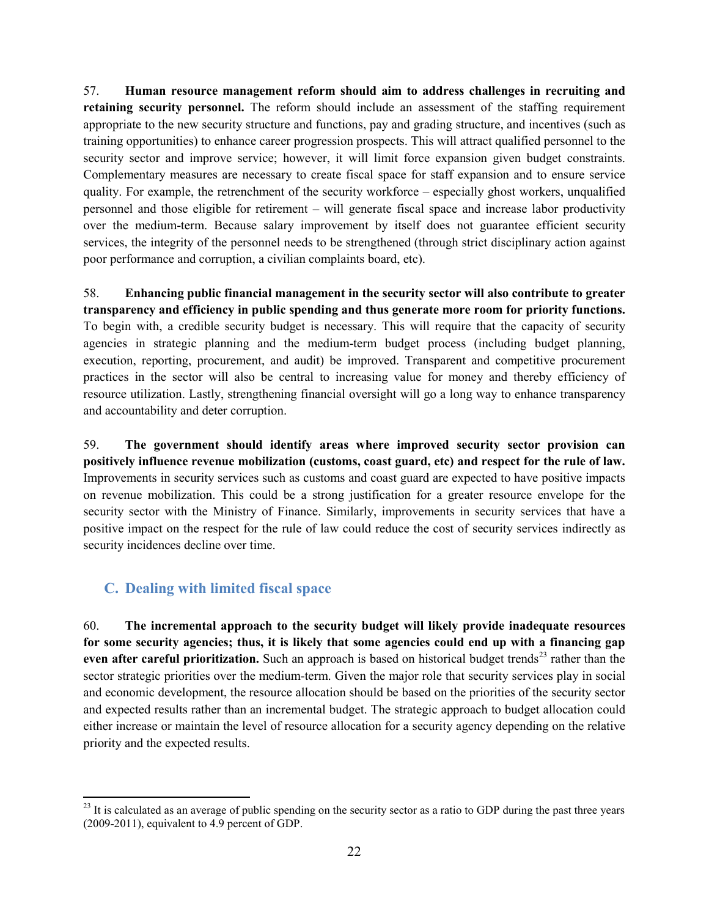57. **Human resource management reform should aim to address challenges in recruiting and retaining security personnel.** The reform should include an assessment of the staffing requirement appropriate to the new security structure and functions, pay and grading structure, and incentives (such as training opportunities) to enhance career progression prospects. This will attract qualified personnel to the security sector and improve service; however, it will limit force expansion given budget constraints. Complementary measures are necessary to create fiscal space for staff expansion and to ensure service quality. For example, the retrenchment of the security workforce – especially ghost workers, unqualified personnel and those eligible for retirement – will generate fiscal space and increase labor productivity over the medium-term. Because salary improvement by itself does not guarantee efficient security services, the integrity of the personnel needs to be strengthened (through strict disciplinary action against poor performance and corruption, a civilian complaints board, etc).

58. **Enhancing public financial management in the security sector will also contribute to greater transparency and efficiency in public spending and thus generate more room for priority functions.** To begin with, a credible security budget is necessary. This will require that the capacity of security agencies in strategic planning and the medium-term budget process (including budget planning, execution, reporting, procurement, and audit) be improved. Transparent and competitive procurement practices in the sector will also be central to increasing value for money and thereby efficiency of resource utilization. Lastly, strengthening financial oversight will go a long way to enhance transparency and accountability and deter corruption.

59. **The government should identify areas where improved security sector provision can positively influence revenue mobilization (customs, coast guard, etc) and respect for the rule of law.** Improvements in security services such as customs and coast guard are expected to have positive impacts on revenue mobilization. This could be a strong justification for a greater resource envelope for the security sector with the Ministry of Finance. Similarly, improvements in security services that have a positive impact on the respect for the rule of law could reduce the cost of security services indirectly as security incidences decline over time.

# **C. Dealing with limited fiscal space**

60. **The incremental approach to the security budget will likely provide inadequate resources for some security agencies; thus, it is likely that some agencies could end up with a financing gap**  even after careful prioritization. Such an approach is based on historical budget trends<sup>23</sup> rather than the sector strategic priorities over the medium-term. Given the major role that security services play in social and economic development, the resource allocation should be based on the priorities of the security sector and expected results rather than an incremental budget. The strategic approach to budget allocation could either increase or maintain the level of resource allocation for a security agency depending on the relative priority and the expected results.

 $\overline{\phantom{a}}$  $^{23}$  It is calculated as an average of public spending on the security sector as a ratio to GDP during the past three years (2009-2011), equivalent to 4.9 percent of GDP.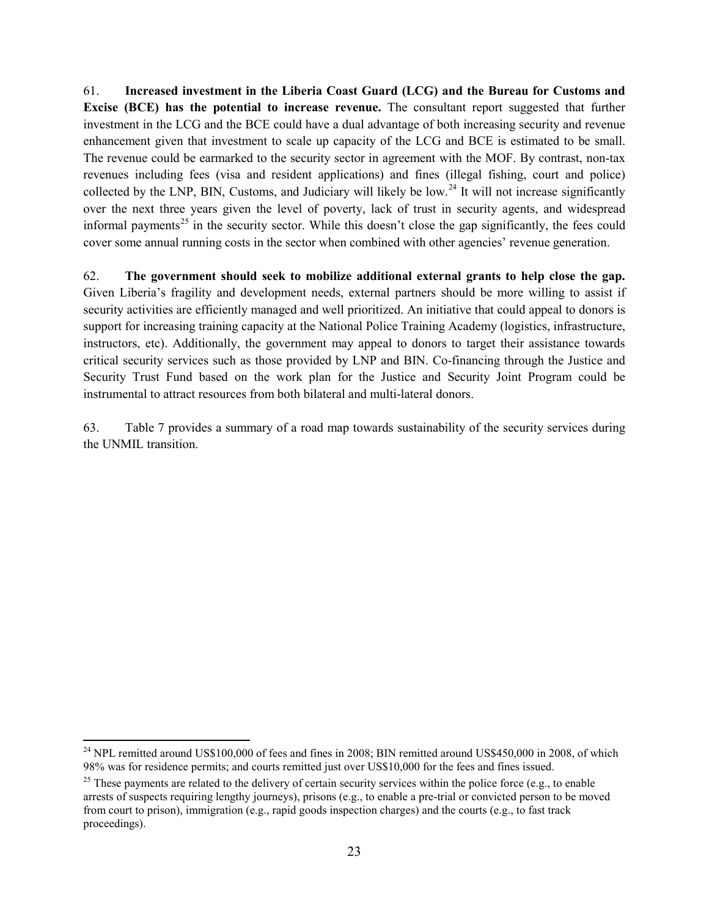61. **Increased investment in the Liberia Coast Guard (LCG) and the Bureau for Customs and Excise (BCE) has the potential to increase revenue.** The consultant report suggested that further investment in the LCG and the BCE could have a dual advantage of both increasing security and revenue enhancement given that investment to scale up capacity of the LCG and BCE is estimated to be small. The revenue could be earmarked to the security sector in agreement with the MOF. By contrast, non-tax revenues including fees (visa and resident applications) and fines (illegal fishing, court and police) collected by the LNP, BIN, Customs, and Judiciary will likely be low.<sup>24</sup> It will not increase significantly over the next three years given the level of poverty, lack of trust in security agents, and widespread informal payments<sup>25</sup> in the security sector. While this doesn't close the gap significantly, the fees could cover some annual running costs in the sector when combined with other agencies' revenue generation.

62. **The government should seek to mobilize additional external grants to help close the gap.** Given Liberia's fragility and development needs, external partners should be more willing to assist if security activities are efficiently managed and well prioritized. An initiative that could appeal to donors is support for increasing training capacity at the National Police Training Academy (logistics, infrastructure, instructors, etc). Additionally, the government may appeal to donors to target their assistance towards critical security services such as those provided by LNP and BIN. Co-financing through the Justice and Security Trust Fund based on the work plan for the Justice and Security Joint Program could be instrumental to attract resources from both bilateral and multi-lateral donors.

63. Table 7 provides a summary of a road map towards sustainability of the security services during the UNMIL transition.

 $\overline{a}$ 

 $^{24}$  NPL remitted around US\$100,000 of fees and fines in 2008; BIN remitted around US\$450,000 in 2008, of which 98% was for residence permits; and courts remitted just over US\$10,000 for the fees and fines issued.

 $25$  These payments are related to the delivery of certain security services within the police force (e.g., to enable arrests of suspects requiring lengthy journeys), prisons (e.g., to enable a pre-trial or convicted person to be moved from court to prison), immigration (e.g., rapid goods inspection charges) and the courts (e.g., to fast track proceedings).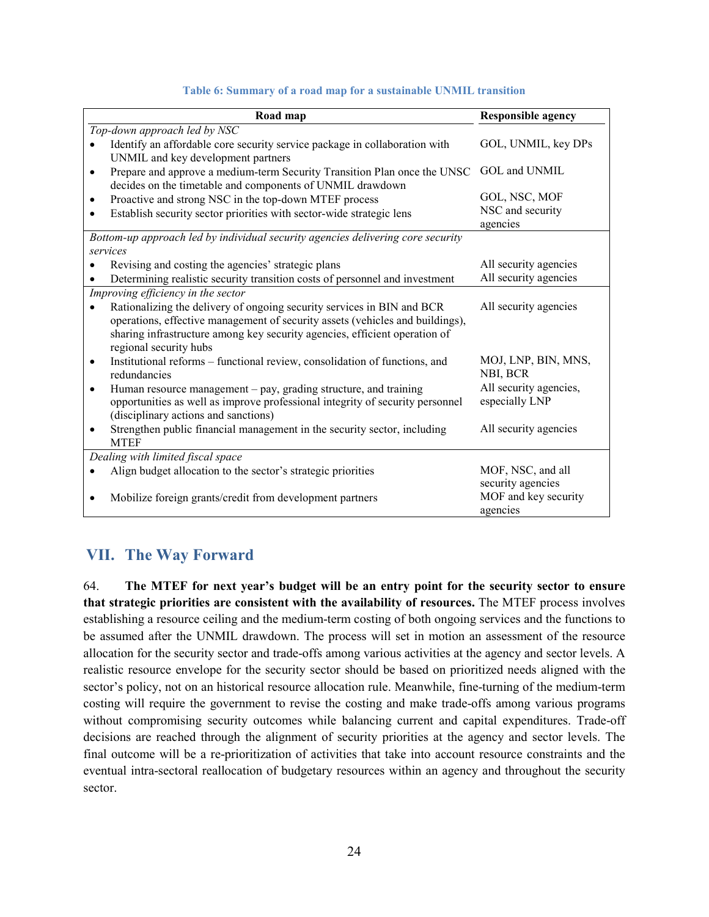#### **Table 6: Summary of a road map for a sustainable UNMIL transition**

|           | Road map                                                                        | <b>Responsible agency</b> |
|-----------|---------------------------------------------------------------------------------|---------------------------|
|           | Top-down approach led by NSC                                                    |                           |
|           | Identify an affordable core security service package in collaboration with      | GOL, UNMIL, key DPs       |
|           | UNMIL and key development partners                                              |                           |
| $\bullet$ | Prepare and approve a medium-term Security Transition Plan once the UNSC        | GOL and UNMIL             |
|           | decides on the timetable and components of UNMIL drawdown                       |                           |
| ٠         | Proactive and strong NSC in the top-down MTEF process                           | GOL, NSC, MOF             |
|           | Establish security sector priorities with sector-wide strategic lens            | NSC and security          |
|           |                                                                                 | agencies                  |
|           | Bottom-up approach led by individual security agencies delivering core security |                           |
|           | services                                                                        |                           |
|           | Revising and costing the agencies' strategic plans                              | All security agencies     |
|           | Determining realistic security transition costs of personnel and investment     | All security agencies     |
|           | Improving efficiency in the sector                                              |                           |
|           | Rationalizing the delivery of ongoing security services in BIN and BCR          | All security agencies     |
|           | operations, effective management of security assets (vehicles and buildings),   |                           |
|           | sharing infrastructure among key security agencies, efficient operation of      |                           |
|           | regional security hubs                                                          |                           |
| $\bullet$ | Institutional reforms – functional review, consolidation of functions, and      | MOJ, LNP, BIN, MNS,       |
|           | redundancies                                                                    | NBI, BCR                  |
| ٠         | Human resource management – pay, grading structure, and training                | All security agencies,    |
|           | opportunities as well as improve professional integrity of security personnel   | especially LNP            |
|           | (disciplinary actions and sanctions)                                            |                           |
|           | Strengthen public financial management in the security sector, including        | All security agencies     |
|           | <b>MTEF</b>                                                                     |                           |
|           | Dealing with limited fiscal space                                               |                           |
|           | Align budget allocation to the sector's strategic priorities                    | MOF, NSC, and all         |
|           |                                                                                 | security agencies         |
|           | Mobilize foreign grants/credit from development partners                        | MOF and key security      |
|           |                                                                                 | agencies                  |

## **VII. The Way Forward**

64. **The MTEF for next year's budget will be an entry point for the security sector to ensure that strategic priorities are consistent with the availability of resources.** The MTEF process involves establishing a resource ceiling and the medium-term costing of both ongoing services and the functions to be assumed after the UNMIL drawdown. The process will set in motion an assessment of the resource allocation for the security sector and trade-offs among various activities at the agency and sector levels. A realistic resource envelope for the security sector should be based on prioritized needs aligned with the sector's policy, not on an historical resource allocation rule. Meanwhile, fine-turning of the medium-term costing will require the government to revise the costing and make trade-offs among various programs without compromising security outcomes while balancing current and capital expenditures. Trade-off decisions are reached through the alignment of security priorities at the agency and sector levels. The final outcome will be a re-prioritization of activities that take into account resource constraints and the eventual intra-sectoral reallocation of budgetary resources within an agency and throughout the security sector.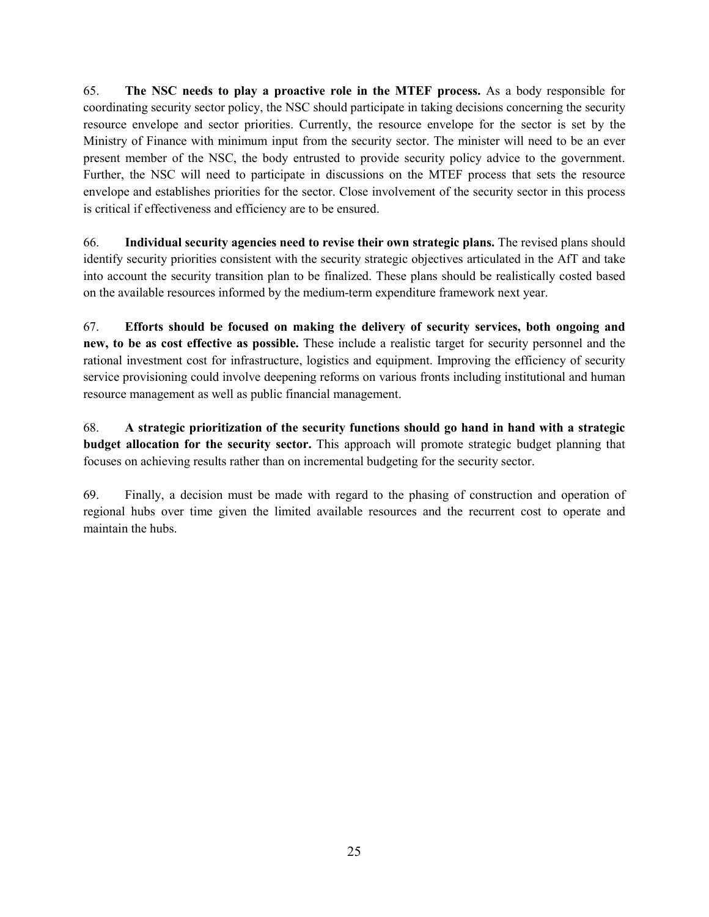65. **The NSC needs to play a proactive role in the MTEF process.** As a body responsible for coordinating security sector policy, the NSC should participate in taking decisions concerning the security resource envelope and sector priorities. Currently, the resource envelope for the sector is set by the Ministry of Finance with minimum input from the security sector. The minister will need to be an ever present member of the NSC, the body entrusted to provide security policy advice to the government. Further, the NSC will need to participate in discussions on the MTEF process that sets the resource envelope and establishes priorities for the sector. Close involvement of the security sector in this process is critical if effectiveness and efficiency are to be ensured.

66. **Individual security agencies need to revise their own strategic plans.** The revised plans should identify security priorities consistent with the security strategic objectives articulated in the AfT and take into account the security transition plan to be finalized. These plans should be realistically costed based on the available resources informed by the medium-term expenditure framework next year.

67. **Efforts should be focused on making the delivery of security services, both ongoing and new, to be as cost effective as possible.** These include a realistic target for security personnel and the rational investment cost for infrastructure, logistics and equipment. Improving the efficiency of security service provisioning could involve deepening reforms on various fronts including institutional and human resource management as well as public financial management.

68. **A strategic prioritization of the security functions should go hand in hand with a strategic budget allocation for the security sector.** This approach will promote strategic budget planning that focuses on achieving results rather than on incremental budgeting for the security sector.

69. Finally, a decision must be made with regard to the phasing of construction and operation of regional hubs over time given the limited available resources and the recurrent cost to operate and maintain the hubs.